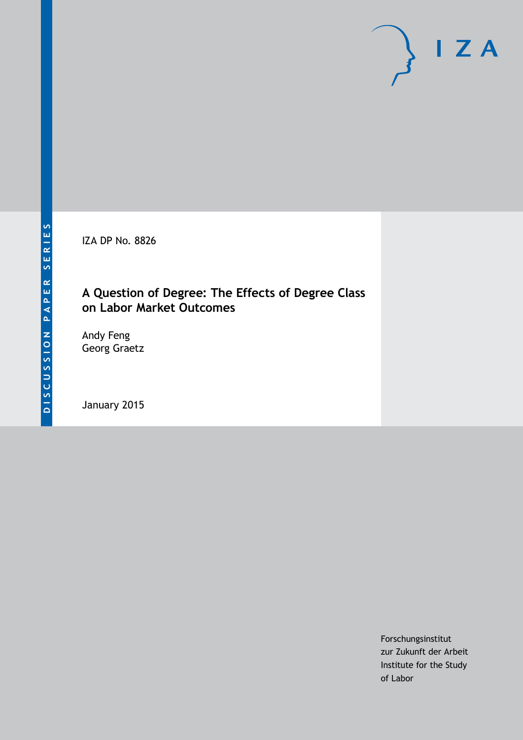IZA DP No. 8826

## **A Question of Degree: The Effects of Degree Class on Labor Market Outcomes**

Andy Feng Georg Graetz

January 2015

Forschungsinstitut zur Zukunft der Arbeit Institute for the Study of Labor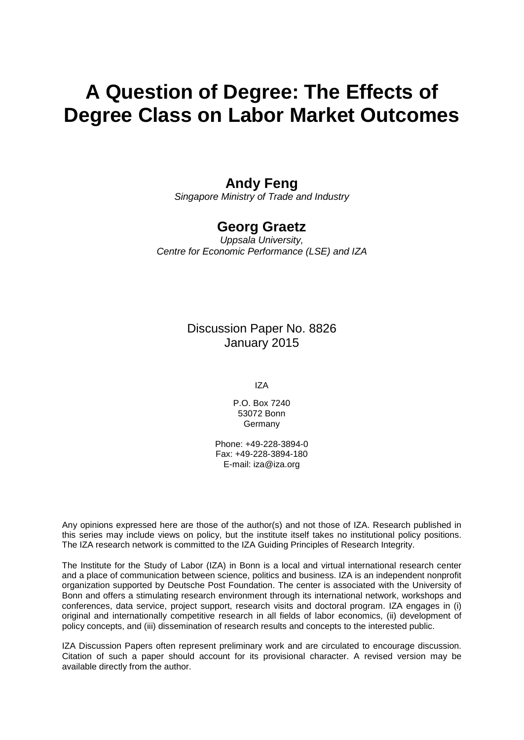# **A Question of Degree: The Effects of Degree Class on Labor Market Outcomes**

## **Andy Feng**

*Singapore Ministry of Trade and Industry*

## **Georg Graetz**

*Uppsala University, Centre for Economic Performance (LSE) and IZA*

> Discussion Paper No. 8826 January 2015

> > IZA

P.O. Box 7240 53072 Bonn Germany

Phone: +49-228-3894-0 Fax: +49-228-3894-180 E-mail: [iza@iza.org](mailto:iza@iza.org)

Any opinions expressed here are those of the author(s) and not those of IZA. Research published in this series may include views on policy, but the institute itself takes no institutional policy positions. The IZA research network is committed to the IZA Guiding Principles of Research Integrity.

The Institute for the Study of Labor (IZA) in Bonn is a local and virtual international research center and a place of communication between science, politics and business. IZA is an independent nonprofit organization supported by Deutsche Post Foundation. The center is associated with the University of Bonn and offers a stimulating research environment through its international network, workshops and conferences, data service, project support, research visits and doctoral program. IZA engages in (i) original and internationally competitive research in all fields of labor economics, (ii) development of policy concepts, and (iii) dissemination of research results and concepts to the interested public.

<span id="page-1-0"></span>IZA Discussion Papers often represent preliminary work and are circulated to encourage discussion. Citation of such a paper should account for its provisional character. A revised version may be available directly from the author.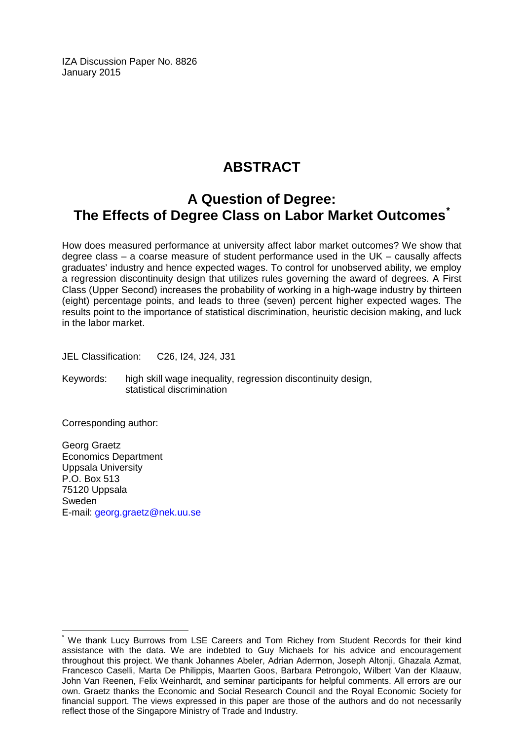IZA Discussion Paper No. 8826 January 2015

# **ABSTRACT**

## **A Question of Degree: The Effects of Degree Class on Labor Market Outcomes[\\*](#page-1-0)**

How does measured performance at university affect labor market outcomes? We show that degree class – a coarse measure of student performance used in the UK – causally affects graduates' industry and hence expected wages. To control for unobserved ability, we employ a regression discontinuity design that utilizes rules governing the award of degrees. A First Class (Upper Second) increases the probability of working in a high-wage industry by thirteen (eight) percentage points, and leads to three (seven) percent higher expected wages. The results point to the importance of statistical discrimination, heuristic decision making, and luck in the labor market.

JEL Classification: C26, I24, J24, J31

Keywords: high skill wage inequality, regression discontinuity design, statistical discrimination

Corresponding author:

Georg Graetz Economics Department Uppsala University P.O. Box 513 75120 Uppsala Sweden E-mail: [georg.graetz@nek.uu.se](mailto:georg.graetz@nek.uu.se)

We thank Lucy Burrows from LSE Careers and Tom Richey from Student Records for their kind assistance with the data. We are indebted to Guy Michaels for his advice and encouragement throughout this project. We thank Johannes Abeler, Adrian Adermon, Joseph Altonji, Ghazala Azmat, Francesco Caselli, Marta De Philippis, Maarten Goos, Barbara Petrongolo, Wilbert Van der Klaauw, John Van Reenen, Felix Weinhardt, and seminar participants for helpful comments. All errors are our own. Graetz thanks the Economic and Social Research Council and the Royal Economic Society for financial support. The views expressed in this paper are those of the authors and do not necessarily reflect those of the Singapore Ministry of Trade and Industry.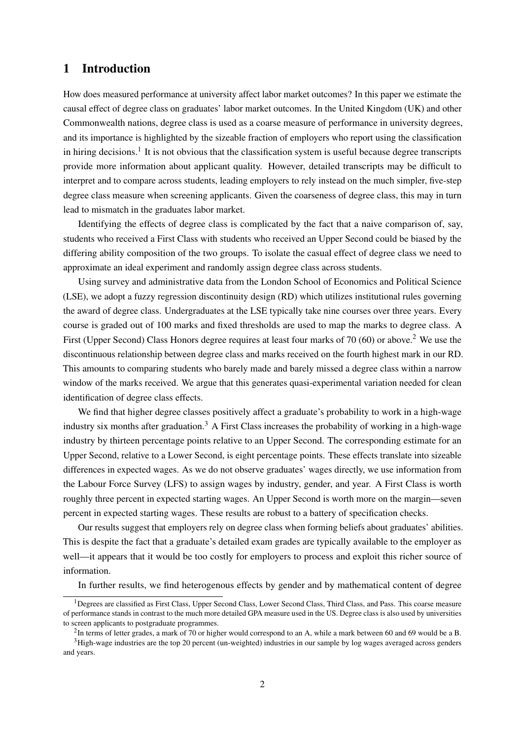### 1 Introduction

How does measured performance at university affect labor market outcomes? In this paper we estimate the causal effect of degree class on graduates' labor market outcomes. In the United Kingdom (UK) and other Commonwealth nations, degree class is used as a coarse measure of performance in university degrees, and its importance is highlighted by the sizeable fraction of employers who report using the classification in hiring decisions.<sup>[1](#page-3-0)</sup> It is not obvious that the classification system is useful because degree transcripts provide more information about applicant quality. However, detailed transcripts may be difficult to interpret and to compare across students, leading employers to rely instead on the much simpler, five-step degree class measure when screening applicants. Given the coarseness of degree class, this may in turn lead to mismatch in the graduates labor market.

Identifying the effects of degree class is complicated by the fact that a naive comparison of, say, students who received a First Class with students who received an Upper Second could be biased by the differing ability composition of the two groups. To isolate the casual effect of degree class we need to approximate an ideal experiment and randomly assign degree class across students.

Using survey and administrative data from the London School of Economics and Political Science (LSE), we adopt a fuzzy regression discontinuity design (RD) which utilizes institutional rules governing the award of degree class. Undergraduates at the LSE typically take nine courses over three years. Every course is graded out of 100 marks and fixed thresholds are used to map the marks to degree class. A First (Upper Second) Class Honors degree requires at least four marks of 70 (60) or above.<sup>[2](#page-3-1)</sup> We use the discontinuous relationship between degree class and marks received on the fourth highest mark in our RD. This amounts to comparing students who barely made and barely missed a degree class within a narrow window of the marks received. We argue that this generates quasi-experimental variation needed for clean identification of degree class effects.

We find that higher degree classes positively affect a graduate's probability to work in a high-wage industry six months after graduation.<sup>[3](#page-3-2)</sup> A First Class increases the probability of working in a high-wage industry by thirteen percentage points relative to an Upper Second. The corresponding estimate for an Upper Second, relative to a Lower Second, is eight percentage points. These effects translate into sizeable differences in expected wages. As we do not observe graduates' wages directly, we use information from the Labour Force Survey (LFS) to assign wages by industry, gender, and year. A First Class is worth roughly three percent in expected starting wages. An Upper Second is worth more on the margin—seven percent in expected starting wages. These results are robust to a battery of specification checks.

Our results suggest that employers rely on degree class when forming beliefs about graduates' abilities. This is despite the fact that a graduate's detailed exam grades are typically available to the employer as well—it appears that it would be too costly for employers to process and exploit this richer source of information.

In further results, we find heterogenous effects by gender and by mathematical content of degree

<span id="page-3-0"></span><sup>&</sup>lt;sup>1</sup>Degrees are classified as First Class, Upper Second Class, Lower Second Class, Third Class, and Pass. This coarse measure of performance stands in contrast to the much more detailed GPA measure used in the US. Degree class is also used by universities to screen applicants to postgraduate programmes.

<span id="page-3-2"></span><span id="page-3-1"></span> ${}^{2}$ In terms of letter grades, a mark of 70 or higher would correspond to an A, while a mark between 60 and 69 would be a B.

<sup>&</sup>lt;sup>3</sup>High-wage industries are the top 20 percent (un-weighted) industries in our sample by log wages averaged across genders and years.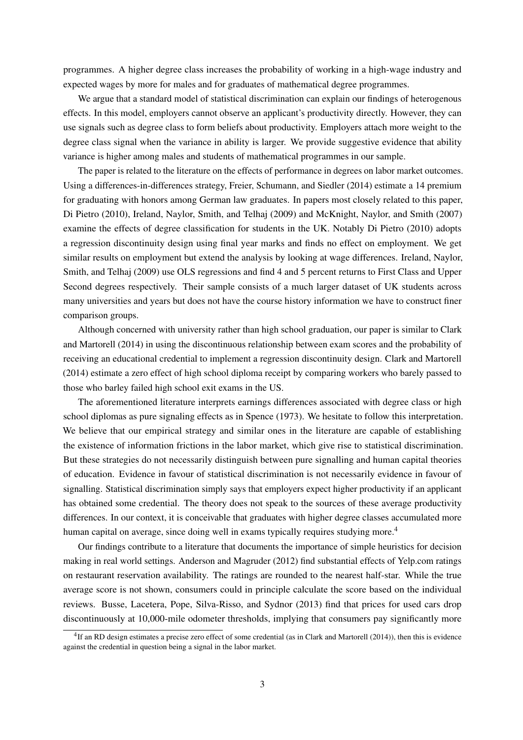programmes. A higher degree class increases the probability of working in a high-wage industry and expected wages by more for males and for graduates of mathematical degree programmes.

We argue that a standard model of statistical discrimination can explain our findings of heterogenous effects. In this model, employers cannot observe an applicant's productivity directly. However, they can use signals such as degree class to form beliefs about productivity. Employers attach more weight to the degree class signal when the variance in ability is larger. We provide suggestive evidence that ability variance is higher among males and students of mathematical programmes in our sample.

The paper is related to the literature on the effects of performance in degrees on labor market outcomes. Using a differences-in-differences strategy, [Freier, Schumann, and Siedler](#page-17-0) [\(2014\)](#page-17-0) estimate a 14 premium for graduating with honors among German law graduates. In papers most closely related to this paper, [Di Pietro](#page-17-1) [\(2010\)](#page-17-1), [Ireland, Naylor, Smith, and Telhaj](#page-18-0) [\(2009\)](#page-18-0) and [McKnight, Naylor, and Smith](#page-18-1) [\(2007\)](#page-18-1) examine the effects of degree classification for students in the UK. Notably [Di Pietro](#page-17-1) [\(2010\)](#page-17-1) adopts a regression discontinuity design using final year marks and finds no effect on employment. We get similar results on employment but extend the analysis by looking at wage differences. [Ireland, Naylor,](#page-18-0) [Smith, and Telhaj](#page-18-0) [\(2009\)](#page-18-0) use OLS regressions and find 4 and 5 percent returns to First Class and Upper Second degrees respectively. Their sample consists of a much larger dataset of UK students across many universities and years but does not have the course history information we have to construct finer comparison groups.

Although concerned with university rather than high school graduation, our paper is similar to [Clark](#page-17-2) [and Martorell](#page-17-2) [\(2014\)](#page-17-2) in using the discontinuous relationship between exam scores and the probability of receiving an educational credential to implement a regression discontinuity design. [Clark and Martorell](#page-17-2) [\(2014\)](#page-17-2) estimate a zero effect of high school diploma receipt by comparing workers who barely passed to those who barley failed high school exit exams in the US.

The aforementioned literature interprets earnings differences associated with degree class or high school diplomas as pure signaling effects as in [Spence](#page-18-2) [\(1973\)](#page-18-2). We hesitate to follow this interpretation. We believe that our empirical strategy and similar ones in the literature are capable of establishing the existence of information frictions in the labor market, which give rise to statistical discrimination. But these strategies do not necessarily distinguish between pure signalling and human capital theories of education. Evidence in favour of statistical discrimination is not necessarily evidence in favour of signalling. Statistical discrimination simply says that employers expect higher productivity if an applicant has obtained some credential. The theory does not speak to the sources of these average productivity differences. In our context, it is conceivable that graduates with higher degree classes accumulated more human capital on average, since doing well in exams typically requires studying more.<sup>[4](#page-4-0)</sup>

Our findings contribute to a literature that documents the importance of simple heuristics for decision making in real world settings. [Anderson and Magruder](#page-17-3) [\(2012\)](#page-17-3) find substantial effects of Yelp.com ratings on restaurant reservation availability. The ratings are rounded to the nearest half-star. While the true average score is not shown, consumers could in principle calculate the score based on the individual reviews. [Busse, Lacetera, Pope, Silva-Risso, and Sydnor](#page-17-4) [\(2013\)](#page-17-4) find that prices for used cars drop discontinuously at 10,000-mile odometer thresholds, implying that consumers pay significantly more

<span id="page-4-0"></span><sup>&</sup>lt;sup>4</sup>If an RD design estimates a precise zero effect of some credential (as in [Clark and Martorell](#page-17-2) [\(2014\)](#page-17-2)), then this is evidence against the credential in question being a signal in the labor market.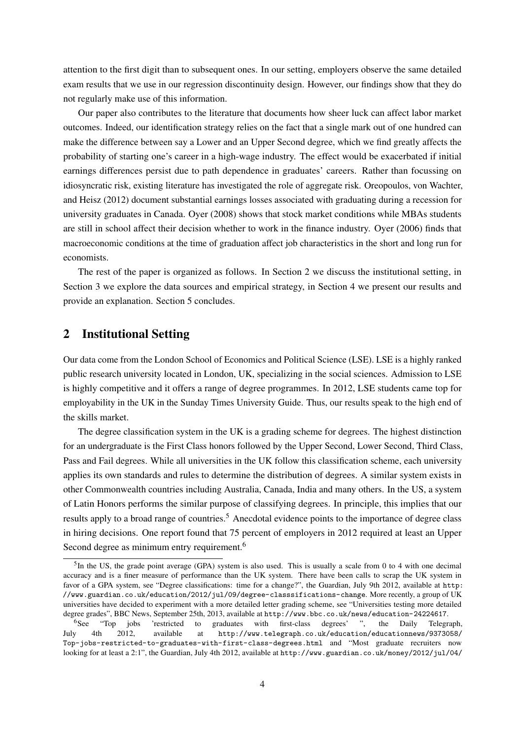attention to the first digit than to subsequent ones. In our setting, employers observe the same detailed exam results that we use in our regression discontinuity design. However, our findings show that they do not regularly make use of this information.

Our paper also contributes to the literature that documents how sheer luck can affect labor market outcomes. Indeed, our identification strategy relies on the fact that a single mark out of one hundred can make the difference between say a Lower and an Upper Second degree, which we find greatly affects the probability of starting one's career in a high-wage industry. The effect would be exacerbated if initial earnings differences persist due to path dependence in graduates' careers. Rather than focussing on idiosyncratic risk, existing literature has investigated the role of aggregate risk. [Oreopoulos, von Wachter,](#page-18-3) [and Heisz](#page-18-3) [\(2012\)](#page-18-3) document substantial earnings losses associated with graduating during a recession for university graduates in Canada. [Oyer](#page-18-4) [\(2008\)](#page-18-4) shows that stock market conditions while MBAs students are still in school affect their decision whether to work in the finance industry. [Oyer](#page-18-5) [\(2006\)](#page-18-5) finds that macroeconomic conditions at the time of graduation affect job characteristics in the short and long run for economists.

The rest of the paper is organized as follows. In Section [2](#page-5-0) we discuss the institutional setting, in Section [3](#page-7-0) we explore the data sources and empirical strategy, in Section [4](#page-11-0) we present our results and provide an explanation. Section [5](#page-16-0) concludes.

## <span id="page-5-0"></span>2 Institutional Setting

Our data come from the London School of Economics and Political Science (LSE). LSE is a highly ranked public research university located in London, UK, specializing in the social sciences. Admission to LSE is highly competitive and it offers a range of degree programmes. In 2012, LSE students came top for employability in the UK in the Sunday Times University Guide. Thus, our results speak to the high end of the skills market.

The degree classification system in the UK is a grading scheme for degrees. The highest distinction for an undergraduate is the First Class honors followed by the Upper Second, Lower Second, Third Class, Pass and Fail degrees. While all universities in the UK follow this classification scheme, each university applies its own standards and rules to determine the distribution of degrees. A similar system exists in other Commonwealth countries including Australia, Canada, India and many others. In the US, a system of Latin Honors performs the similar purpose of classifying degrees. In principle, this implies that our results apply to a broad range of countries.<sup>[5](#page-5-1)</sup> Anecdotal evidence points to the importance of degree class in hiring decisions. One report found that 75 percent of employers in 2012 required at least an Upper Second degree as minimum entry requirement.<sup>[6](#page-5-2)</sup>

<span id="page-5-1"></span> ${}^{5}$ In the US, the grade point average (GPA) system is also used. This is usually a scale from 0 to 4 with one decimal accuracy and is a finer measure of performance than the UK system. There have been calls to scrap the UK system in favor of a GPA system, see "Degree classifications: time for a change?", the Guardian, July 9th 2012, available at [http:](http://www.guardian.co.uk/education/2012/jul/09/degree-classsifications-change) [//www.guardian.co.uk/education/2012/jul/09/degree-classsifications-change](http://www.guardian.co.uk/education/2012/jul/09/degree-classsifications-change). More recently, a group of UK universities have decided to experiment with a more detailed letter grading scheme, see "Universities testing more detailed degree grades", BBC News, September 25th, 2013, available at <http://www.bbc.co.uk/news/education-24224617>.

<span id="page-5-2"></span><sup>6</sup>See "Top jobs 'restricted to graduates with first-class degrees' ", the Daily Telegraph, July 4th 2012, available at [http://www.telegraph.co.uk/education/educationnews/9373058/](http://www.telegraph.co.uk/education/educationnews/9373058/Top-jobs-restricted-to-graduates-with-first-class-degrees.html) [Top-jobs-restricted-to-graduates-with-first-class-degrees.html](http://www.telegraph.co.uk/education/educationnews/9373058/Top-jobs-restricted-to-graduates-with-first-class-degrees.html) and "Most graduate recruiters now looking for at least a 2:1", the Guardian, July 4th 2012, available at [http://www.guardian.co.uk/money/2012/jul/04/](http://www.guardian.co.uk/money/2012/jul/04/graduate-recruiters-look-for-21-degree)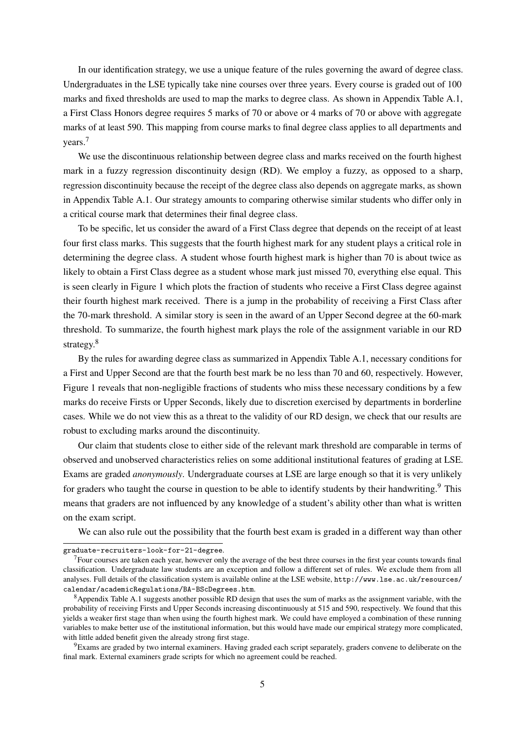[In our identification strategy, we use a unique feature of the rules governing the award of degree class.](http://www.guardian.co.uk/money/2012/jul/04/graduate-recruiters-look-for-21-degree) [Undergraduates in the LSE typically take nine courses over three years. Every course is graded out of 100](http://www.guardian.co.uk/money/2012/jul/04/graduate-recruiters-look-for-21-degree) [marks and fixed thresholds are used to map the marks to degree class. As shown in Appendix Table A.1,](http://www.guardian.co.uk/money/2012/jul/04/graduate-recruiters-look-for-21-degree) [a First Class Honors degree requires 5 marks of 70 or above or 4 marks of 70 or above with aggregate](http://www.guardian.co.uk/money/2012/jul/04/graduate-recruiters-look-for-21-degree) [marks of at least 590. This mapping from course marks to final degree class applies to all departments and](http://www.guardian.co.uk/money/2012/jul/04/graduate-recruiters-look-for-21-degree) [years.](http://www.guardian.co.uk/money/2012/jul/04/graduate-recruiters-look-for-21-degree)[7](#page-6-0)

[We use the discontinuous relationship between degree class and marks received on the fourth highest](http://www.guardian.co.uk/money/2012/jul/04/graduate-recruiters-look-for-21-degree) [mark in a fuzzy regression discontinuity design \(RD\). We employ a fuzzy, as opposed to a sharp,](http://www.guardian.co.uk/money/2012/jul/04/graduate-recruiters-look-for-21-degree) [regression discontinuity because the receipt of the degree class also depends on aggregate marks, as shown](http://www.guardian.co.uk/money/2012/jul/04/graduate-recruiters-look-for-21-degree) [in Appendix Table A.1. Our strategy amounts to comparing otherwise similar students who differ only in](http://www.guardian.co.uk/money/2012/jul/04/graduate-recruiters-look-for-21-degree) [a critical course mark that determines their final degree class.](http://www.guardian.co.uk/money/2012/jul/04/graduate-recruiters-look-for-21-degree)

[To be specific, let us consider the award of a First Class degree that depends on the receipt of at least](http://www.guardian.co.uk/money/2012/jul/04/graduate-recruiters-look-for-21-degree) [four first class marks. This suggests that the fourth highest mark for any student plays a critical role in](http://www.guardian.co.uk/money/2012/jul/04/graduate-recruiters-look-for-21-degree) [determining the degree class. A student whose fourth highest mark is higher than 70 is about twice as](http://www.guardian.co.uk/money/2012/jul/04/graduate-recruiters-look-for-21-degree) [likely to obtain a First Class degree as a student whose mark just missed 70, everything else equal. This](http://www.guardian.co.uk/money/2012/jul/04/graduate-recruiters-look-for-21-degree) [is seen clearly in Figure 1 which plots the fraction of students who receive a First Class degree against](http://www.guardian.co.uk/money/2012/jul/04/graduate-recruiters-look-for-21-degree) [their fourth highest mark received. There is a jump in the probability of receiving a First Class after](http://www.guardian.co.uk/money/2012/jul/04/graduate-recruiters-look-for-21-degree) [the 70-mark threshold. A similar story is seen in the award of an Upper Second degree at the 60-mark](http://www.guardian.co.uk/money/2012/jul/04/graduate-recruiters-look-for-21-degree) [threshold. To summarize, the fourth highest mark plays the role of the assignment variable in our RD](http://www.guardian.co.uk/money/2012/jul/04/graduate-recruiters-look-for-21-degree) [strategy.](http://www.guardian.co.uk/money/2012/jul/04/graduate-recruiters-look-for-21-degree)<sup>[8](#page-6-1)</sup>

[By the rules for awarding degree class as summarized in Appendix Table A.1, necessary conditions for](http://www.guardian.co.uk/money/2012/jul/04/graduate-recruiters-look-for-21-degree) [a First and Upper Second are that the fourth best mark be no less than 70 and 60, respectively. However,](http://www.guardian.co.uk/money/2012/jul/04/graduate-recruiters-look-for-21-degree) [Figure 1 reveals that non-negligible fractions of students who miss these necessary conditions by a few](http://www.guardian.co.uk/money/2012/jul/04/graduate-recruiters-look-for-21-degree) [marks do receive Firsts or Upper Seconds, likely due to discretion exercised by departments in borderline](http://www.guardian.co.uk/money/2012/jul/04/graduate-recruiters-look-for-21-degree) [cases. While we do not view this as a threat to the validity of our RD design, we check that our results are](http://www.guardian.co.uk/money/2012/jul/04/graduate-recruiters-look-for-21-degree) [robust to excluding marks around the discontinuity.](http://www.guardian.co.uk/money/2012/jul/04/graduate-recruiters-look-for-21-degree)

[Our claim that students close to either side of the relevant mark threshold are comparable in terms of](http://www.guardian.co.uk/money/2012/jul/04/graduate-recruiters-look-for-21-degree) [observed and unobserved characteristics relies on some additional institutional features of grading at LSE.](http://www.guardian.co.uk/money/2012/jul/04/graduate-recruiters-look-for-21-degree) Exams are graded *anonymously*[. Undergraduate courses at LSE are large enough so that it is very unlikely](http://www.guardian.co.uk/money/2012/jul/04/graduate-recruiters-look-for-21-degree) [for graders who taught the course in question to be able to identify students by their handwriting.](http://www.guardian.co.uk/money/2012/jul/04/graduate-recruiters-look-for-21-degree)<sup>[9](#page-6-2)</sup> This [means that graders are not influenced by any knowledge of a student's ability other than what is written](http://www.guardian.co.uk/money/2012/jul/04/graduate-recruiters-look-for-21-degree) [on the exam script.](http://www.guardian.co.uk/money/2012/jul/04/graduate-recruiters-look-for-21-degree)

[We can also rule out the possibility that the fourth best exam is graded in a different way than other](http://www.guardian.co.uk/money/2012/jul/04/graduate-recruiters-look-for-21-degree)

[graduate-recruiters-look-for-21-degree](http://www.guardian.co.uk/money/2012/jul/04/graduate-recruiters-look-for-21-degree).

<span id="page-6-0"></span> $<sup>7</sup>$  Four courses are taken each year, however only the average of the best three courses in the first year counts towards final</sup> classification. Undergraduate law students are an exception and follow a different set of rules. We exclude them from all analyses. Full details of the classification system is available online at the LSE website, [http://www.lse.ac.uk/resources/](http://www.lse.ac.uk/resources/calendar/academicRegulations/BA-BScDegrees.htm) [calendar/academicRegulations/BA-BScDegrees.htm](http://www.lse.ac.uk/resources/calendar/academicRegulations/BA-BScDegrees.htm).

<span id="page-6-1"></span><sup>&</sup>lt;sup>8</sup>Appendix Table [A.1](#page-34-0) suggests another possible RD design that uses the sum of marks as the assignment variable, with the probability of receiving Firsts and Upper Seconds increasing discontinuously at 515 and 590, respectively. We found that this yields a weaker first stage than when using the fourth highest mark. We could have employed a combination of these running variables to make better use of the institutional information, but this would have made our empirical strategy more complicated, with little added benefit given the already strong first stage.

<span id="page-6-2"></span><sup>&</sup>lt;sup>9</sup>Exams are graded by two internal examiners. Having graded each script separately, graders convene to deliberate on the final mark. External examiners grade scripts for which no agreement could be reached.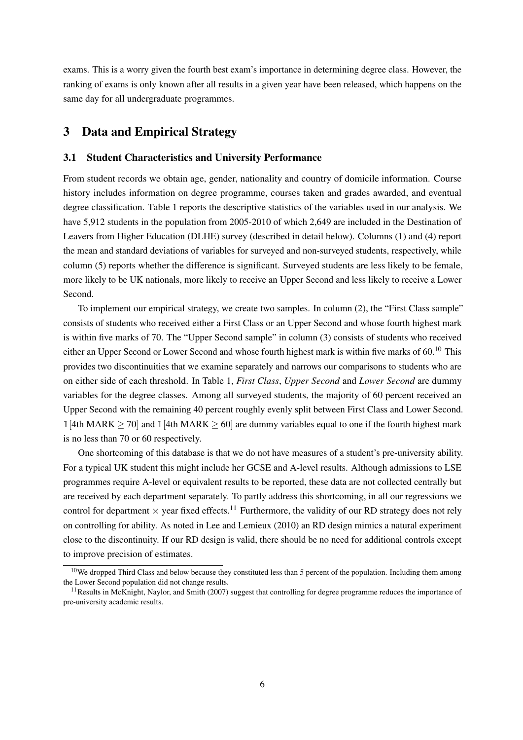exams. This is a worry given the fourth best exam's importance in determining degree class. However, the ranking of exams is only known after all results in a given year have been released, which happens on the same day for all undergraduate programmes.

## <span id="page-7-0"></span>3 Data and Empirical Strategy

#### 3.1 Student Characteristics and University Performance

From student records we obtain age, gender, nationality and country of domicile information. Course history includes information on degree programme, courses taken and grades awarded, and eventual degree classification. Table [1](#page-23-0) reports the descriptive statistics of the variables used in our analysis. We have 5,912 students in the population from 2005-2010 of which 2,649 are included in the Destination of Leavers from Higher Education (DLHE) survey (described in detail below). Columns (1) and (4) report the mean and standard deviations of variables for surveyed and non-surveyed students, respectively, while column (5) reports whether the difference is significant. Surveyed students are less likely to be female, more likely to be UK nationals, more likely to receive an Upper Second and less likely to receive a Lower Second.

To implement our empirical strategy, we create two samples. In column (2), the "First Class sample" consists of students who received either a First Class or an Upper Second and whose fourth highest mark is within five marks of 70. The "Upper Second sample" in column (3) consists of students who received either an Upper Second or Lower Second and whose fourth highest mark is within five marks of 60.<sup>[10](#page-7-1)</sup> This provides two discontinuities that we examine separately and narrows our comparisons to students who are on either side of each threshold. In Table [1,](#page-23-0) *First Class*, *Upper Second* and *Lower Second* are dummy variables for the degree classes. Among all surveyed students, the majority of 60 percent received an Upper Second with the remaining 40 percent roughly evenly split between First Class and Lower Second. 1 [4th MARK  $\geq$  70] and 1 [4th MARK  $\geq$  60] are dummy variables equal to one if the fourth highest mark is no less than 70 or 60 respectively.

One shortcoming of this database is that we do not have measures of a student's pre-university ability. For a typical UK student this might include her GCSE and A-level results. Although admissions to LSE programmes require A-level or equivalent results to be reported, these data are not collected centrally but are received by each department separately. To partly address this shortcoming, in all our regressions we control for department  $\times$  year fixed effects.<sup>[11](#page-7-2)</sup> Furthermore, the validity of our RD strategy does not rely on controlling for ability. As noted in [Lee and Lemieux](#page-18-6) [\(2010\)](#page-18-6) an RD design mimics a natural experiment close to the discontinuity. If our RD design is valid, there should be no need for additional controls except to improve precision of estimates.

<span id="page-7-1"></span> $10$ We dropped Third Class and below because they constituted less than 5 percent of the population. Including them among the Lower Second population did not change results.

<span id="page-7-2"></span> $11$ Results in [McKnight, Naylor, and Smith](#page-18-1) [\(2007\)](#page-18-1) suggest that controlling for degree programme reduces the importance of pre-university academic results.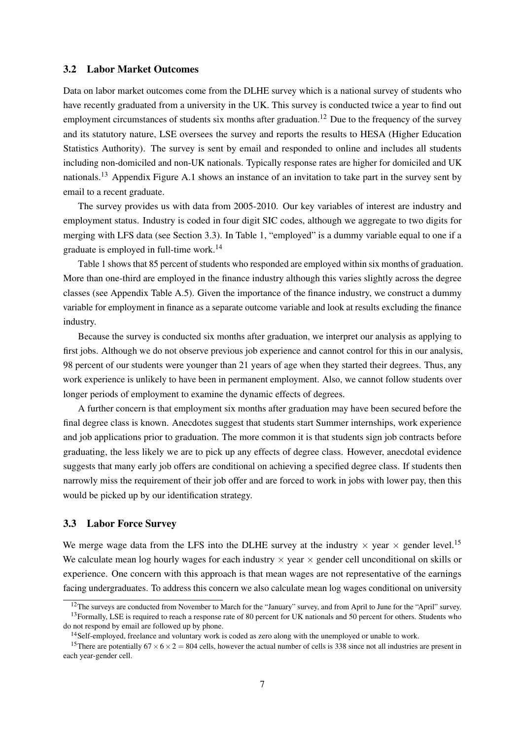#### 3.2 Labor Market Outcomes

Data on labor market outcomes come from the DLHE survey which is a national survey of students who have recently graduated from a university in the UK. This survey is conducted twice a year to find out employment circumstances of students six months after graduation.<sup>[12](#page-8-0)</sup> Due to the frequency of the survey and its statutory nature, LSE oversees the survey and reports the results to HESA (Higher Education Statistics Authority). The survey is sent by email and responded to online and includes all students including non-domiciled and non-UK nationals. Typically response rates are higher for domiciled and UK nationals.<sup>[13](#page-8-1)</sup> Appendix Figure [A.1](#page-32-0) shows an instance of an invitation to take part in the survey sent by email to a recent graduate.

The survey provides us with data from 2005-2010. Our key variables of interest are industry and employment status. Industry is coded in four digit SIC codes, although we aggregate to two digits for merging with LFS data (see Section [3.3\)](#page-8-2). In Table [1,](#page-23-0) "employed" is a dummy variable equal to one if a graduate is employed in full-time work.[14](#page-8-3)

Table [1](#page-23-0) shows that 85 percent of students who responded are employed within six months of graduation. More than one-third are employed in the finance industry although this varies slightly across the degree classes (see Appendix Table [A.5\)](#page-37-0). Given the importance of the finance industry, we construct a dummy variable for employment in finance as a separate outcome variable and look at results excluding the finance industry.

Because the survey is conducted six months after graduation, we interpret our analysis as applying to first jobs. Although we do not observe previous job experience and cannot control for this in our analysis, 98 percent of our students were younger than 21 years of age when they started their degrees. Thus, any work experience is unlikely to have been in permanent employment. Also, we cannot follow students over longer periods of employment to examine the dynamic effects of degrees.

A further concern is that employment six months after graduation may have been secured before the final degree class is known. Anecdotes suggest that students start Summer internships, work experience and job applications prior to graduation. The more common it is that students sign job contracts before graduating, the less likely we are to pick up any effects of degree class. However, anecdotal evidence suggests that many early job offers are conditional on achieving a specified degree class. If students then narrowly miss the requirement of their job offer and are forced to work in jobs with lower pay, then this would be picked up by our identification strategy.

#### <span id="page-8-2"></span>3.3 Labor Force Survey

We merge wage data from the LFS into the DLHE survey at the industry  $\times$  year  $\times$  gender level.<sup>[15](#page-8-4)</sup> We calculate mean log hourly wages for each industry  $\times$  year  $\times$  gender cell unconditional on skills or experience. One concern with this approach is that mean wages are not representative of the earnings facing undergraduates. To address this concern we also calculate mean log wages conditional on university

<span id="page-8-1"></span><span id="page-8-0"></span><sup>12</sup>The surveys are conducted from November to March for the "January" survey, and from April to June for the "April" survey.  $13$  Formally, LSE is required to reach a response rate of 80 percent for UK nationals and 50 percent for others. Students who

do not respond by email are followed up by phone.

<span id="page-8-4"></span><span id="page-8-3"></span><sup>&</sup>lt;sup>14</sup>Self-employed, freelance and voluntary work is coded as zero along with the unemployed or unable to work.

<sup>&</sup>lt;sup>15</sup>There are potentially  $67 \times 6 \times 2 = 804$  cells, however the actual number of cells is 338 since not all industries are present in each year-gender cell.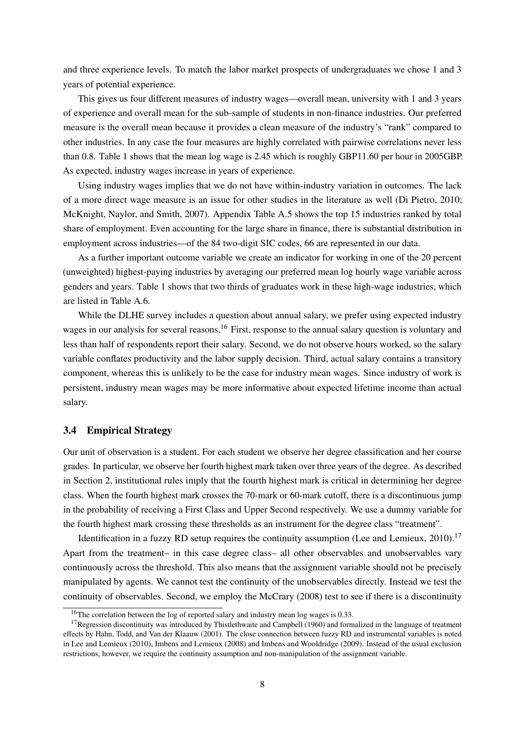and three experience levels. To match the labor market prospects of undergraduates we chose 1 and 3 years of potential experience.

This gives us four different measures of industry wages—overall mean, university with 1 and 3 years of experience and overall mean for the sub-sample of students in non-finance industries. Our preferred measure is the overall mean because it provides a clean measure of the industry's "rank" compared to other industries. In any case the four measures are highly correlated with pairwise correlations never less than 0.8. Table [1](#page-23-0) shows that the mean log wage is 2.45 which is roughly GBP11.60 per hour in 2005GBP. As expected, industry wages increase in years of experience.

Using industry wages implies that we do not have within-industry variation in outcomes. The lack of a more direct wage measure is an issue for other studies in the literature as well [\(Di Pietro, 2010;](#page-17-1) [McKnight, Naylor, and Smith, 2007\)](#page-18-1). Appendix Table [A.5](#page-37-0) shows the top 15 industries ranked by total share of employment. Even accounting for the large share in finance, there is substantial distribution in employment across industries—of the 84 two-digit SIC codes, 66 are represented in our data.

As a further important outcome variable we create an indicator for working in one of the 20 percent (unweighted) highest-paying industries by averaging our preferred mean log hourly wage variable across genders and years. Table [1](#page-23-0) shows that two thirds of graduates work in these high-wage industries, which are listed in Table [A.6.](#page-37-1)

While the DLHE survey includes a question about annual salary, we prefer using expected industry wages in our analysis for several reasons.<sup>[16](#page-9-0)</sup> First, response to the annual salary question is voluntary and less than half of respondents report their salary. Second, we do not observe hours worked, so the salary variable conflates productivity and the labor supply decision. Third, actual salary contains a transitory component, whereas this is unlikely to be the case for industry mean wages. Since industry of work is persistent, industry mean wages may be more informative about expected lifetime income than actual salary.

#### <span id="page-9-2"></span>3.4 Empirical Strategy

Our unit of observation is a student. For each student we observe her degree classification and her course grades. In particular, we observe her fourth highest mark taken over three years of the degree. As described in Section [2,](#page-5-0) institutional rules imply that the fourth highest mark is critical in determining her degree class. When the fourth highest mark crosses the 70-mark or 60-mark cutoff, there is a discontinuous jump in the probability of receiving a First Class and Upper Second respectively. We use a dummy variable for the fourth highest mark crossing these thresholds as an instrument for the degree class "treatment".

Identification in a fuzzy RD setup requires the continuity assumption (Lee and Lemieux,  $2010$ ).<sup>[17](#page-9-1)</sup> Apart from the treatment– in this case degree class– all other observables and unobservables vary continuously across the threshold. This also means that the assignment variable should not be precisely manipulated by agents. We cannot test the continuity of the unobservables directly. Instead we test the continuity of observables. Second, we employ the [McCrary](#page-18-7) [\(2008\)](#page-18-7) test to see if there is a discontinuity

<span id="page-9-1"></span><span id="page-9-0"></span><sup>&</sup>lt;sup>16</sup>The correlation between the log of reported salary and industry mean log wages is 0.33.

 $17$ Regression discontinuity was introduced by [Thistlethwaite and Campbell](#page-18-8) [\(1960\)](#page-18-8) and formalized in the language of treatment effects by [Hahn, Todd, and Van der Klaauw](#page-18-9) [\(2001\)](#page-18-9). The close connection between fuzzy RD and instrumental variables is noted in [Lee and Lemieux](#page-18-6) [\(2010\)](#page-18-6), [Imbens and Lemieux](#page-18-10) [\(2008\)](#page-18-10) and [Imbens and Wooldridge](#page-18-11) [\(2009\)](#page-18-11). Instead of the usual exclusion restrictions, however, we require the continuity assumption and non-manipulation of the assignment variable.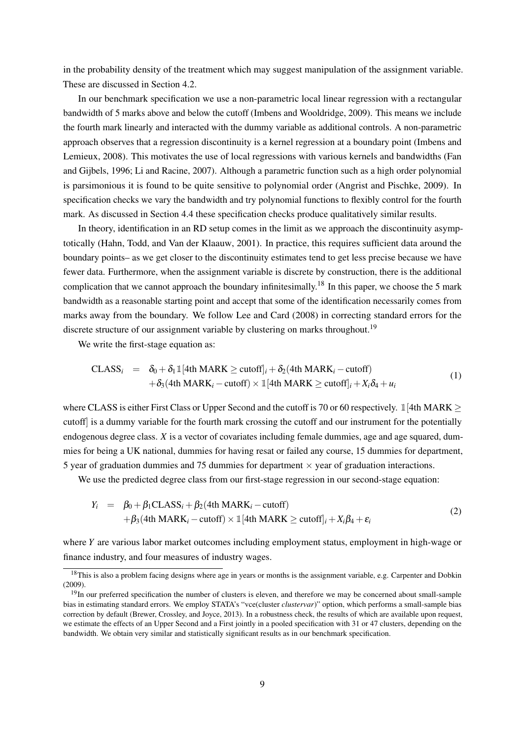in the probability density of the treatment which may suggest manipulation of the assignment variable. These are discussed in Section [4.2.](#page-11-1)

In our benchmark specification we use a non-parametric local linear regression with a rectangular bandwidth of 5 marks above and below the cutoff [\(Imbens and Wooldridge, 2009\)](#page-18-11). This means we include the fourth mark linearly and interacted with the dummy variable as additional controls. A non-parametric approach observes that a regression discontinuity is a kernel regression at a boundary point [\(Imbens and](#page-18-10) [Lemieux, 2008\)](#page-18-10). This motivates the use of local regressions with various kernels and bandwidths [\(Fan](#page-17-5) [and Gijbels, 1996;](#page-17-5) [Li and Racine, 2007\)](#page-18-12). Although a parametric function such as a high order polynomial is parsimonious it is found to be quite sensitive to polynomial order [\(Angrist and Pischke, 2009\)](#page-17-6). In specification checks we vary the bandwidth and try polynomial functions to flexibly control for the fourth mark. As discussed in Section [4.4](#page-13-0) these specification checks produce qualitatively similar results.

In theory, identification in an RD setup comes in the limit as we approach the discontinuity asymptotically [\(Hahn, Todd, and Van der Klaauw, 2001\)](#page-18-9). In practice, this requires sufficient data around the boundary points– as we get closer to the discontinuity estimates tend to get less precise because we have fewer data. Furthermore, when the assignment variable is discrete by construction, there is the additional complication that we cannot approach the boundary infinitesimally.<sup>[18](#page-10-0)</sup> In this paper, we choose the 5 mark bandwidth as a reasonable starting point and accept that some of the identification necessarily comes from marks away from the boundary. We follow [Lee and Card](#page-18-13) [\(2008\)](#page-18-13) in correcting standard errors for the discrete structure of our assignment variable by clustering on marks throughout.<sup>[19](#page-10-1)</sup>

We write the first-stage equation as:

<span id="page-10-2"></span>
$$
\begin{array}{rcl}\n\text{CLASS}_{i} & = & \delta_{0} + \delta_{1} \mathbb{1}[4\text{th} \text{ MARK} \geq \text{cutoff}]_{i} + \delta_{2}(4\text{th} \text{MARK}_{i} - \text{cutoff}) \\
& & + \delta_{3}(4\text{th} \text{ MARK}_{i} - \text{cutoff}) \times \mathbb{1}[4\text{th} \text{MARK} \geq \text{cutoff}]_{i} + X_{i}\delta_{4} + u_{i}\n\end{array} \tag{1}
$$

where CLASS is either First Class or Upper Second and the cutoff is 70 or 60 respectively.  $\mathbb{1}[4th \text{MARK} >$ cutoff] is a dummy variable for the fourth mark crossing the cutoff and our instrument for the potentially endogenous degree class. *X* is a vector of covariates including female dummies, age and age squared, dummies for being a UK national, dummies for having resat or failed any course, 15 dummies for department, 5 year of graduation dummies and 75 dummies for department  $\times$  year of graduation interactions.

We use the predicted degree class from our first-stage regression in our second-stage equation:

<span id="page-10-3"></span>
$$
Y_i = \beta_0 + \beta_1 \text{CLASS}_i + \beta_2 \text{(4th MARK}_i - \text{cutoff)}
$$
  
+  $\beta_3 \text{(4th MARK}_i - \text{cutoff)} \times \mathbb{I}[\text{4th MARK} \ge \text{cutoff}]_i + X_i \beta_4 + \varepsilon_i$  (2)

where *Y* are various labor market outcomes including employment status, employment in high-wage or finance industry, and four measures of industry wages.

<span id="page-10-0"></span> $18$ This is also a problem facing designs where age in years or months is the assignment variable, e.g. [Carpenter and Dobkin](#page-17-7) [\(2009\)](#page-17-7).

<span id="page-10-1"></span> $19$ In our preferred specification the number of clusters is eleven, and therefore we may be concerned about small-sample bias in estimating standard errors. We employ STATA's "vce(cluster *clustervar*)" option, which performs a small-sample bias correction by default [\(Brewer, Crossley, and Joyce, 2013\)](#page-17-8). In a robustness check, the results of which are available upon request, we estimate the effects of an Upper Second and a First jointly in a pooled specification with 31 or 47 clusters, depending on the bandwidth. We obtain very similar and statistically significant results as in our benchmark specification.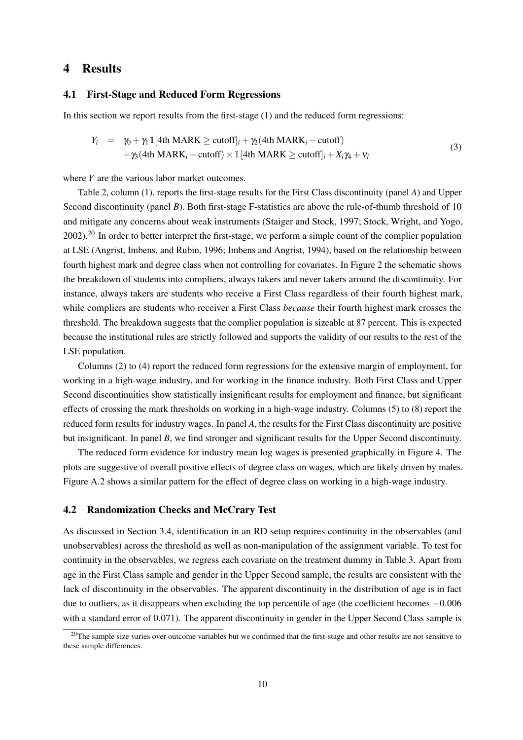## <span id="page-11-0"></span>4 Results

#### 4.1 First-Stage and Reduced Form Regressions

In this section we report results from the first-stage [\(1\)](#page-10-2) and the reduced form regressions:

$$
Y_i = \gamma_0 + \gamma_1 \mathbb{1}[4\text{th MARK} \ge \text{cutoff}]_i + \gamma_2(4\text{th MARK}_i - \text{cutoff})
$$
  
+  $\gamma_3(4\text{th MARK}_i - \text{cutoff}) \times \mathbb{1}[4\text{th MARK} \ge \text{cutoff}]_i + X_i\gamma_4 + v_i$  (3)

where *Y* are the various labor market outcomes.

Table [2,](#page-24-0) column (1), reports the first-stage results for the First Class discontinuity (panel *A*) and Upper Second discontinuity (panel *B*). Both first-stage F-statistics are above the rule-of-thumb threshold of 10 and mitigate any concerns about weak instruments [\(Staiger and Stock, 1997;](#page-18-14) [Stock, Wright, and Yogo,](#page-18-15)  $2002$  $2002$ .<sup>20</sup> In order to better interpret the first-stage, we perform a simple count of the complier population at LSE [\(Angrist, Imbens, and Rubin, 1996;](#page-17-9) [Imbens and Angrist, 1994\)](#page-18-16), based on the relationship between fourth highest mark and degree class when not controlling for covariates. In Figure [2](#page-20-0) the schematic shows the breakdown of students into compliers, always takers and never takers around the discontinuity. For instance, always takers are students who receive a First Class regardless of their fourth highest mark, while compliers are students who receiver a First Class *because* their fourth highest mark crosses the threshold. The breakdown suggests that the complier population is sizeable at 87 percent. This is expected because the institutional rules are strictly followed and supports the validity of our results to the rest of the LSE population.

Columns (2) to (4) report the reduced form regressions for the extensive margin of employment, for working in a high-wage industry, and for working in the finance industry. Both First Class and Upper Second discontinuities show statistically insignificant results for employment and finance, but significant effects of crossing the mark thresholds on working in a high-wage industry. Columns (5) to (8) report the reduced form results for industry wages. In panel *A*, the results for the First Class discontinuity are positive but insignificant. In panel *B*, we find stronger and significant results for the Upper Second discontinuity.

The reduced form evidence for industry mean log wages is presented graphically in Figure [4.](#page-22-0) The plots are suggestive of overall positive effects of degree class on wages, which are likely driven by males. Figure [A.2](#page-33-0) shows a similar pattern for the effect of degree class on working in a high-wage industry.

#### <span id="page-11-1"></span>4.2 Randomization Checks and McCrary Test

As discussed in Section [3.4,](#page-9-2) identification in an RD setup requires continuity in the observables (and unobservables) across the threshold as well as non-manipulation of the assignment variable. To test for continuity in the observables, we regress each covariate on the treatment dummy in Table [3.](#page-25-0) Apart from age in the First Class sample and gender in the Upper Second sample, the results are consistent with the lack of discontinuity in the observables. The apparent discontinuity in the distribution of age is in fact due to outliers, as it disappears when excluding the top percentile of age (the coefficient becomes −0.006 with a standard error of 0.071). The apparent discontinuity in gender in the Upper Second Class sample is

<span id="page-11-2"></span> $20$ The sample size varies over outcome variables but we confirmed that the first-stage and other results are not sensitive to these sample differences.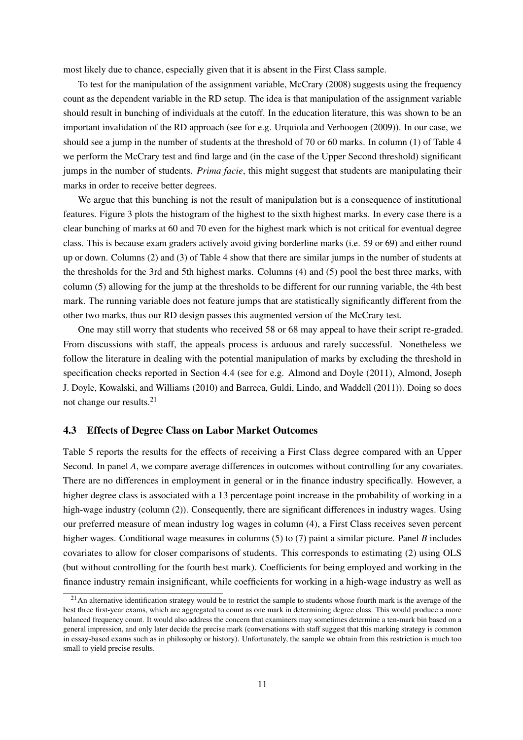most likely due to chance, especially given that it is absent in the First Class sample.

To test for the manipulation of the assignment variable, [McCrary](#page-18-7) [\(2008\)](#page-18-7) suggests using the frequency count as the dependent variable in the RD setup. The idea is that manipulation of the assignment variable should result in bunching of individuals at the cutoff. In the education literature, this was shown to be an important invalidation of the RD approach (see for e.g. [Urquiola and Verhoogen](#page-18-17) [\(2009\)](#page-18-17)). In our case, we should see a jump in the number of students at the threshold of 70 or 60 marks. In column (1) of Table [4](#page-26-0) we perform the McCrary test and find large and (in the case of the Upper Second threshold) significant jumps in the number of students. *Prima facie*, this might suggest that students are manipulating their marks in order to receive better degrees.

We argue that this bunching is not the result of manipulation but is a consequence of institutional features. Figure [3](#page-21-0) plots the histogram of the highest to the sixth highest marks. In every case there is a clear bunching of marks at 60 and 70 even for the highest mark which is not critical for eventual degree class. This is because exam graders actively avoid giving borderline marks (i.e. 59 or 69) and either round up or down. Columns (2) and (3) of Table [4](#page-26-0) show that there are similar jumps in the number of students at the thresholds for the 3rd and 5th highest marks. Columns (4) and (5) pool the best three marks, with column (5) allowing for the jump at the thresholds to be different for our running variable, the 4th best mark. The running variable does not feature jumps that are statistically significantly different from the other two marks, thus our RD design passes this augmented version of the McCrary test.

One may still worry that students who received 58 or 68 may appeal to have their script re-graded. From discussions with staff, the appeals process is arduous and rarely successful. Nonetheless we follow the literature in dealing with the potential manipulation of marks by excluding the threshold in specification checks reported in Section [4.4](#page-13-0) (see for e.g. [Almond and Doyle](#page-17-10) [\(2011\)](#page-17-10), [Almond, Joseph](#page-17-11) [J. Doyle, Kowalski, and Williams](#page-17-11) [\(2010\)](#page-17-11) and [Barreca, Guldi, Lindo, and Waddell](#page-17-12) [\(2011\)](#page-17-12)). Doing so does not change our results.[21](#page-12-0)

#### 4.3 Effects of Degree Class on Labor Market Outcomes

Table [5](#page-27-0) reports the results for the effects of receiving a First Class degree compared with an Upper Second. In panel *A*, we compare average differences in outcomes without controlling for any covariates. There are no differences in employment in general or in the finance industry specifically. However, a higher degree class is associated with a 13 percentage point increase in the probability of working in a high-wage industry (column (2)). Consequently, there are significant differences in industry wages. Using our preferred measure of mean industry log wages in column (4), a First Class receives seven percent higher wages. Conditional wage measures in columns (5) to (7) paint a similar picture. Panel *B* includes covariates to allow for closer comparisons of students. This corresponds to estimating [\(2\)](#page-10-3) using OLS (but without controlling for the fourth best mark). Coefficients for being employed and working in the finance industry remain insignificant, while coefficients for working in a high-wage industry as well as

<span id="page-12-0"></span> $21$ An alternative identification strategy would be to restrict the sample to students whose fourth mark is the average of the best three first-year exams, which are aggregated to count as one mark in determining degree class. This would produce a more balanced frequency count. It would also address the concern that examiners may sometimes determine a ten-mark bin based on a general impression, and only later decide the precise mark (conversations with staff suggest that this marking strategy is common in essay-based exams such as in philosophy or history). Unfortunately, the sample we obtain from this restriction is much too small to yield precise results.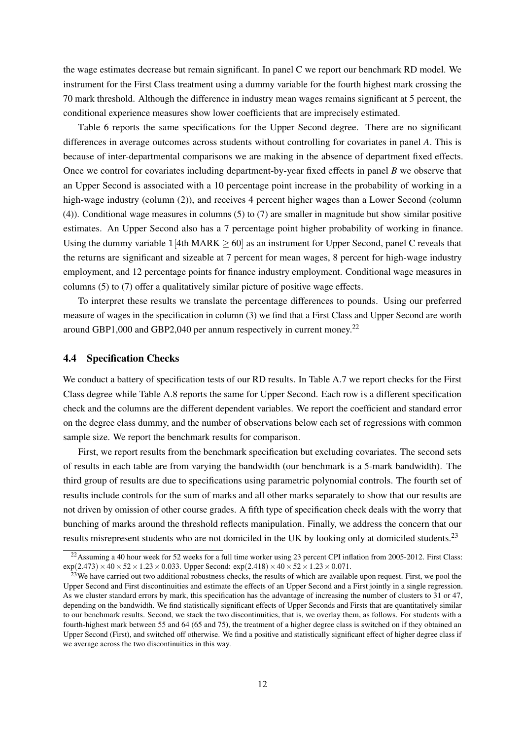the wage estimates decrease but remain significant. In panel C we report our benchmark RD model. We instrument for the First Class treatment using a dummy variable for the fourth highest mark crossing the 70 mark threshold. Although the difference in industry mean wages remains significant at 5 percent, the conditional experience measures show lower coefficients that are imprecisely estimated.

Table [6](#page-28-0) reports the same specifications for the Upper Second degree. There are no significant differences in average outcomes across students without controlling for covariates in panel *A*. This is because of inter-departmental comparisons we are making in the absence of department fixed effects. Once we control for covariates including department-by-year fixed effects in panel *B* we observe that an Upper Second is associated with a 10 percentage point increase in the probability of working in a high-wage industry (column (2)), and receives 4 percent higher wages than a Lower Second (column (4)). Conditional wage measures in columns (5) to (7) are smaller in magnitude but show similar positive estimates. An Upper Second also has a 7 percentage point higher probability of working in finance. Using the dummy variable  $1[4th MARK \ge 60]$  as an instrument for Upper Second, panel C reveals that the returns are significant and sizeable at 7 percent for mean wages, 8 percent for high-wage industry employment, and 12 percentage points for finance industry employment. Conditional wage measures in columns (5) to (7) offer a qualitatively similar picture of positive wage effects.

To interpret these results we translate the percentage differences to pounds. Using our preferred measure of wages in the specification in column (3) we find that a First Class and Upper Second are worth around GBP1,000 and GBP2,040 per annum respectively in current money.<sup>[22](#page-13-1)</sup>

#### <span id="page-13-0"></span>4.4 Specification Checks

We conduct a battery of specification tests of our RD results. In Table [A.7](#page-38-0) we report checks for the First Class degree while Table [A.8](#page-39-0) reports the same for Upper Second. Each row is a different specification check and the columns are the different dependent variables. We report the coefficient and standard error on the degree class dummy, and the number of observations below each set of regressions with common sample size. We report the benchmark results for comparison.

First, we report results from the benchmark specification but excluding covariates. The second sets of results in each table are from varying the bandwidth (our benchmark is a 5-mark bandwidth). The third group of results are due to specifications using parametric polynomial controls. The fourth set of results include controls for the sum of marks and all other marks separately to show that our results are not driven by omission of other course grades. A fifth type of specification check deals with the worry that bunching of marks around the threshold reflects manipulation. Finally, we address the concern that our results misrepresent students who are not domiciled in the UK by looking only at domiciled students.[23](#page-13-2)

<span id="page-13-1"></span><sup>&</sup>lt;sup>22</sup>Assuming a 40 hour week for 52 weeks for a full time worker using 23 percent CPI inflation from 2005-2012. First Class:  $\exp(2.473) \times 40 \times 52 \times 1.23 \times 0.033$ . Upper Second:  $\exp(2.418) \times 40 \times 52 \times 1.23 \times 0.071$ .

<span id="page-13-2"></span> $23$ We have carried out two additional robustness checks, the results of which are available upon request. First, we pool the Upper Second and First discontinuities and estimate the effects of an Upper Second and a First jointly in a single regression. As we cluster standard errors by mark, this specification has the advantage of increasing the number of clusters to 31 or 47, depending on the bandwidth. We find statistically significant effects of Upper Seconds and Firsts that are quantitatively similar to our benchmark results. Second, we stack the two discontinuities, that is, we overlay them, as follows. For students with a fourth-highest mark between 55 and 64 (65 and 75), the treatment of a higher degree class is switched on if they obtained an Upper Second (First), and switched off otherwise. We find a positive and statistically significant effect of higher degree class if we average across the two discontinuities in this way.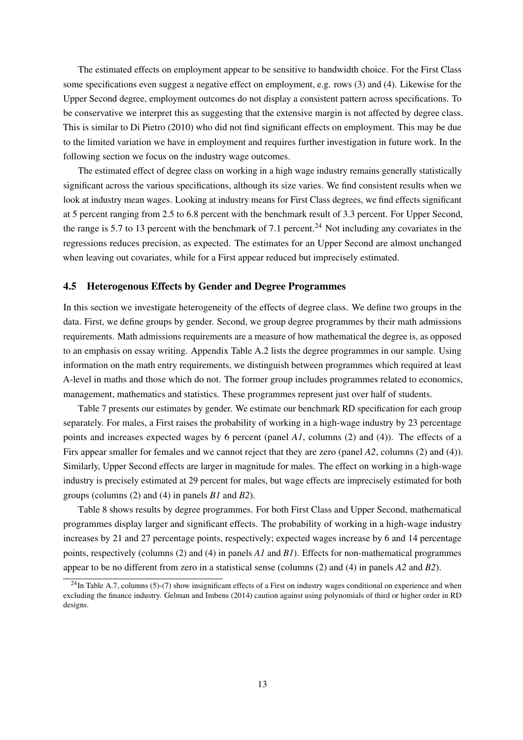The estimated effects on employment appear to be sensitive to bandwidth choice. For the First Class some specifications even suggest a negative effect on employment, e.g. rows (3) and (4). Likewise for the Upper Second degree, employment outcomes do not display a consistent pattern across specifications. To be conservative we interpret this as suggesting that the extensive margin is not affected by degree class. This is similar to [Di Pietro](#page-17-1) [\(2010\)](#page-17-1) who did not find significant effects on employment. This may be due to the limited variation we have in employment and requires further investigation in future work. In the following section we focus on the industry wage outcomes.

The estimated effect of degree class on working in a high wage industry remains generally statistically significant across the various specifications, although its size varies. We find consistent results when we look at industry mean wages. Looking at industry means for First Class degrees, we find effects significant at 5 percent ranging from 2.5 to 6.8 percent with the benchmark result of 3.3 percent. For Upper Second, the range is 5.7 to 13 percent with the benchmark of 7.1 percent.<sup>[24](#page-14-0)</sup> Not including any covariates in the regressions reduces precision, as expected. The estimates for an Upper Second are almost unchanged when leaving out covariates, while for a First appear reduced but imprecisely estimated.

#### 4.5 Heterogenous Effects by Gender and Degree Programmes

In this section we investigate heterogeneity of the effects of degree class. We define two groups in the data. First, we define groups by gender. Second, we group degree programmes by their math admissions requirements. Math admissions requirements are a measure of how mathematical the degree is, as opposed to an emphasis on essay writing. Appendix Table [A.2](#page-35-0) lists the degree programmes in our sample. Using information on the math entry requirements, we distinguish between programmes which required at least A-level in maths and those which do not. The former group includes programmes related to economics, management, mathematics and statistics. These programmes represent just over half of students.

Table [7](#page-29-0) presents our estimates by gender. We estimate our benchmark RD specification for each group separately. For males, a First raises the probability of working in a high-wage industry by 23 percentage points and increases expected wages by 6 percent (panel *A1*, columns (2) and (4)). The effects of a Firs appear smaller for females and we cannot reject that they are zero (panel *A2*, columns (2) and (4)). Similarly, Upper Second effects are larger in magnitude for males. The effect on working in a high-wage industry is precisely estimated at 29 percent for males, but wage effects are imprecisely estimated for both groups (columns (2) and (4) in panels *B1* and *B2*).

Table [8](#page-30-0) shows results by degree programmes. For both First Class and Upper Second, mathematical programmes display larger and significant effects. The probability of working in a high-wage industry increases by 21 and 27 percentage points, respectively; expected wages increase by 6 and 14 percentage points, respectively (columns (2) and (4) in panels *A1* and *B1*). Effects for non-mathematical programmes appear to be no different from zero in a statistical sense (columns (2) and (4) in panels *A2* and *B2*).

<span id="page-14-0"></span><sup>&</sup>lt;sup>24</sup>In Table [A.7,](#page-38-0) columns (5)-(7) show insignificant effects of a First on industry wages conditional on experience and when excluding the finance industry. [Gelman and Imbens](#page-17-13) [\(2014\)](#page-17-13) caution against using polynomials of third or higher order in RD designs.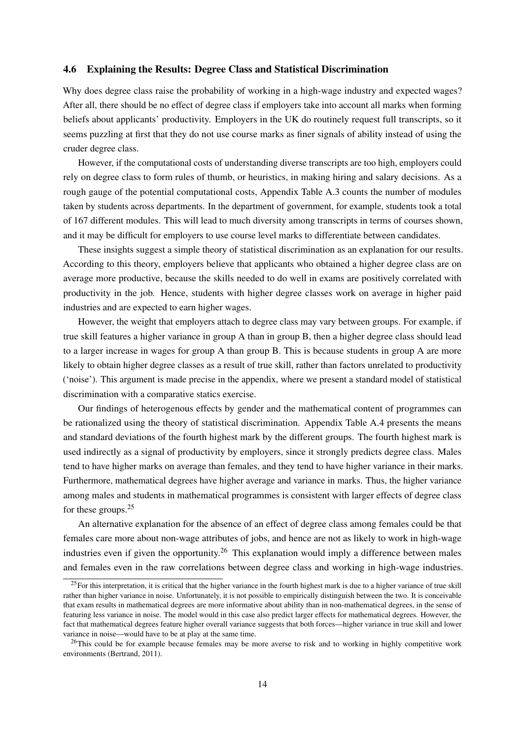#### 4.6 Explaining the Results: Degree Class and Statistical Discrimination

Why does degree class raise the probability of working in a high-wage industry and expected wages? After all, there should be no effect of degree class if employers take into account all marks when forming beliefs about applicants' productivity. Employers in the UK do routinely request full transcripts, so it seems puzzling at first that they do not use course marks as finer signals of ability instead of using the cruder degree class.

However, if the computational costs of understanding diverse transcripts are too high, employers could rely on degree class to form rules of thumb, or heuristics, in making hiring and salary decisions. As a rough gauge of the potential computational costs, Appendix Table [A.3](#page-36-0) counts the number of modules taken by students across departments. In the department of government, for example, students took a total of 167 different modules. This will lead to much diversity among transcripts in terms of courses shown, and it may be difficult for employers to use course level marks to differentiate between candidates.

These insights suggest a simple theory of statistical discrimination as an explanation for our results. According to this theory, employers believe that applicants who obtained a higher degree class are on average more productive, because the skills needed to do well in exams are positively correlated with productivity in the job. Hence, students with higher degree classes work on average in higher paid industries and are expected to earn higher wages.

However, the weight that employers attach to degree class may vary between groups. For example, if true skill features a higher variance in group A than in group B, then a higher degree class should lead to a larger increase in wages for group A than group B. This is because students in group A are more likely to obtain higher degree classes as a result of true skill, rather than factors unrelated to productivity ('noise'). This argument is made precise in the appendix, where we present a standard model of statistical discrimination with a comparative statics exercise.

Our findings of heterogenous effects by gender and the mathematical content of programmes can be rationalized using the theory of statistical discrimination. Appendix Table [A.4](#page-36-1) presents the means and standard deviations of the fourth highest mark by the different groups. The fourth highest mark is used indirectly as a signal of productivity by employers, since it strongly predicts degree class. Males tend to have higher marks on average than females, and they tend to have higher variance in their marks. Furthermore, mathematical degrees have higher average and variance in marks. Thus, the higher variance among males and students in mathematical programmes is consistent with larger effects of degree class for these groups.[25](#page-15-0)

An alternative explanation for the absence of an effect of degree class among females could be that females care more about non-wage attributes of jobs, and hence are not as likely to work in high-wage industries even if given the opportunity.<sup>[26](#page-15-1)</sup> This explanation would imply a difference between males and females even in the raw correlations between degree class and working in high-wage industries.

<span id="page-15-0"></span> $25$ For this interpretation, it is critical that the higher variance in the fourth highest mark is due to a higher variance of true skill rather than higher variance in noise. Unfortunately, it is not possible to empirically distinguish between the two. It is conceivable that exam results in mathematical degrees are more informative about ability than in non-mathematical degrees, in the sense of featuring less variance in noise. The model would in this case also predict larger effects for mathematical degrees. However, the fact that mathematical degrees feature higher overall variance suggests that both forces—higher variance in true skill and lower variance in noise—would have to be at play at the same time.

<span id="page-15-1"></span> $^{26}$ This could be for example because females may be more averse to risk and to working in highly competitive work environments [\(Bertrand, 2011\)](#page-17-14).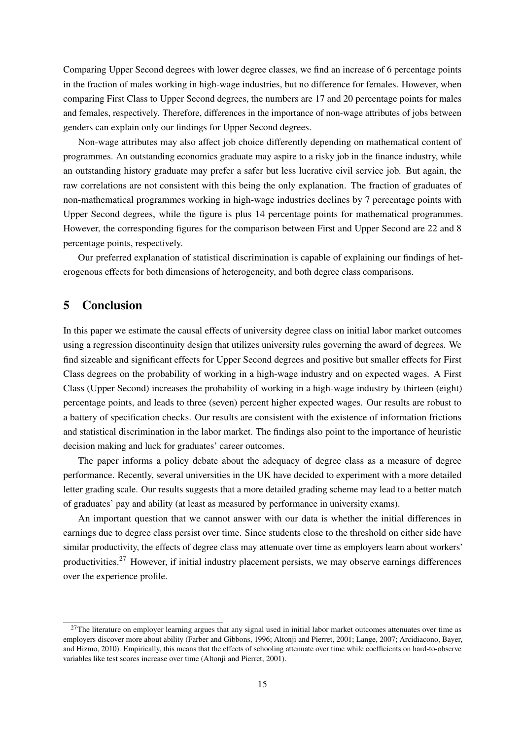Comparing Upper Second degrees with lower degree classes, we find an increase of 6 percentage points in the fraction of males working in high-wage industries, but no difference for females. However, when comparing First Class to Upper Second degrees, the numbers are 17 and 20 percentage points for males and females, respectively. Therefore, differences in the importance of non-wage attributes of jobs between genders can explain only our findings for Upper Second degrees.

Non-wage attributes may also affect job choice differently depending on mathematical content of programmes. An outstanding economics graduate may aspire to a risky job in the finance industry, while an outstanding history graduate may prefer a safer but less lucrative civil service job. But again, the raw correlations are not consistent with this being the only explanation. The fraction of graduates of non-mathematical programmes working in high-wage industries declines by 7 percentage points with Upper Second degrees, while the figure is plus 14 percentage points for mathematical programmes. However, the corresponding figures for the comparison between First and Upper Second are 22 and 8 percentage points, respectively.

Our preferred explanation of statistical discrimination is capable of explaining our findings of heterogenous effects for both dimensions of heterogeneity, and both degree class comparisons.

## <span id="page-16-0"></span>5 Conclusion

In this paper we estimate the causal effects of university degree class on initial labor market outcomes using a regression discontinuity design that utilizes university rules governing the award of degrees. We find sizeable and significant effects for Upper Second degrees and positive but smaller effects for First Class degrees on the probability of working in a high-wage industry and on expected wages. A First Class (Upper Second) increases the probability of working in a high-wage industry by thirteen (eight) percentage points, and leads to three (seven) percent higher expected wages. Our results are robust to a battery of specification checks. Our results are consistent with the existence of information frictions and statistical discrimination in the labor market. The findings also point to the importance of heuristic decision making and luck for graduates' career outcomes.

The paper informs a policy debate about the adequacy of degree class as a measure of degree performance. Recently, several universities in the UK have decided to experiment with a more detailed letter grading scale. Our results suggests that a more detailed grading scheme may lead to a better match of graduates' pay and ability (at least as measured by performance in university exams).

An important question that we cannot answer with our data is whether the initial differences in earnings due to degree class persist over time. Since students close to the threshold on either side have similar productivity, the effects of degree class may attenuate over time as employers learn about workers' productivities.[27](#page-16-1) However, if initial industry placement persists, we may observe earnings differences over the experience profile.

<span id="page-16-1"></span> $27$ The literature on employer learning argues that any signal used in initial labor market outcomes attenuates over time as employers discover more about ability [\(Farber and Gibbons, 1996;](#page-17-15) [Altonji and Pierret, 2001;](#page-17-16) [Lange, 2007;](#page-18-18) [Arcidiacono, Bayer,](#page-17-17) [and Hizmo, 2010\)](#page-17-17). Empirically, this means that the effects of schooling attenuate over time while coefficients on hard-to-observe variables like test scores increase over time [\(Altonji and Pierret, 2001\)](#page-17-16).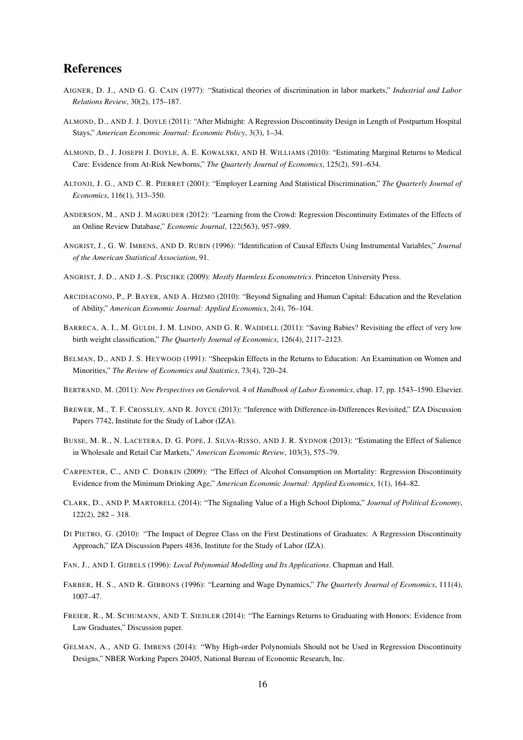## References

- <span id="page-17-18"></span>AIGNER, D. J., AND G. G. CAIN (1977): "Statistical theories of discrimination in labor markets," *Industrial and Labor Relations Review*, 30(2), 175–187.
- <span id="page-17-10"></span>ALMOND, D., AND J. J. DOYLE (2011): "After Midnight: A Regression Discontinuity Design in Length of Postpartum Hospital Stays," *American Economic Journal: Economic Policy*, 3(3), 1–34.
- <span id="page-17-11"></span>ALMOND, D., J. JOSEPH J. DOYLE, A. E. KOWALSKI, AND H. WILLIAMS (2010): "Estimating Marginal Returns to Medical Care: Evidence from At-Risk Newborns," *The Quarterly Journal of Economics*, 125(2), 591–634.
- <span id="page-17-16"></span>ALTONJI, J. G., AND C. R. PIERRET (2001): "Employer Learning And Statistical Discrimination," *The Quarterly Journal of Economics*, 116(1), 313–350.
- <span id="page-17-3"></span>ANDERSON, M., AND J. MAGRUDER (2012): "Learning from the Crowd: Regression Discontinuity Estimates of the Effects of an Online Review Database," *Economic Journal*, 122(563), 957–989.
- <span id="page-17-9"></span>ANGRIST, J., G. W. IMBENS, AND D. RUBIN (1996): "Identification of Causal Effects Using Instrumental Variables," *Journal of the American Statistical Association*, 91.
- <span id="page-17-6"></span>ANGRIST, J. D., AND J.-S. PISCHKE (2009): *Mostly Harmless Econometrics*. Princeton University Press.
- <span id="page-17-17"></span>ARCIDIACONO, P., P. BAYER, AND A. HIZMO (2010): "Beyond Signaling and Human Capital: Education and the Revelation of Ability," *American Economic Journal: Applied Economics*, 2(4), 76–104.
- <span id="page-17-12"></span>BARRECA, A. I., M. GULDI, J. M. LINDO, AND G. R. WADDELL (2011): "Saving Babies? Revisiting the effect of very low birth weight classification," *The Quarterly Journal of Economics*, 126(4), 2117–2123.
- <span id="page-17-19"></span>BELMAN, D., AND J. S. HEYWOOD (1991): "Sheepskin Effects in the Returns to Education: An Examination on Women and Minorities," *The Review of Economics and Statistics*, 73(4), 720–24.
- <span id="page-17-14"></span>BERTRAND, M. (2011): *New Perspectives on Gender*vol. 4 of *Handbook of Labor Economics*, chap. 17, pp. 1543–1590. Elsevier.
- <span id="page-17-8"></span>BREWER, M., T. F. CROSSLEY, AND R. JOYCE (2013): "Inference with Difference-in-Differences Revisited," IZA Discussion Papers 7742, Institute for the Study of Labor (IZA).
- <span id="page-17-4"></span>BUSSE, M. R., N. LACETERA, D. G. POPE, J. SILVA-RISSO, AND J. R. SYDNOR (2013): "Estimating the Effect of Salience in Wholesale and Retail Car Markets," *American Economic Review*, 103(3), 575–79.
- <span id="page-17-7"></span>CARPENTER, C., AND C. DOBKIN (2009): "The Effect of Alcohol Consumption on Mortality: Regression Discontinuity Evidence from the Minimum Drinking Age," *American Economic Journal: Applied Economics*, 1(1), 164–82.
- <span id="page-17-2"></span>CLARK, D., AND P. MARTORELL (2014): "The Signaling Value of a High School Diploma," *Journal of Political Economy*,  $122(2)$ ,  $282 - 318$ .
- <span id="page-17-1"></span>DI PIETRO, G. (2010): "The Impact of Degree Class on the First Destinations of Graduates: A Regression Discontinuity Approach," IZA Discussion Papers 4836, Institute for the Study of Labor (IZA).
- <span id="page-17-5"></span>FAN, J., AND I. GIJBELS (1996): *Local Polynomial Modelling and Its Applications*. Chapman and Hall.
- <span id="page-17-15"></span>FARBER, H. S., AND R. GIBBONS (1996): "Learning and Wage Dynamics," *The Quarterly Journal of Economics*, 111(4), 1007–47.
- <span id="page-17-0"></span>FREIER, R., M. SCHUMANN, AND T. SIEDLER (2014): "The Earnings Returns to Graduating with Honors: Evidence from Law Graduates," Discussion paper.
- <span id="page-17-13"></span>GELMAN, A., AND G. IMBENS (2014): "Why High-order Polynomials Should not be Used in Regression Discontinuity Designs," NBER Working Papers 20405, National Bureau of Economic Research, Inc.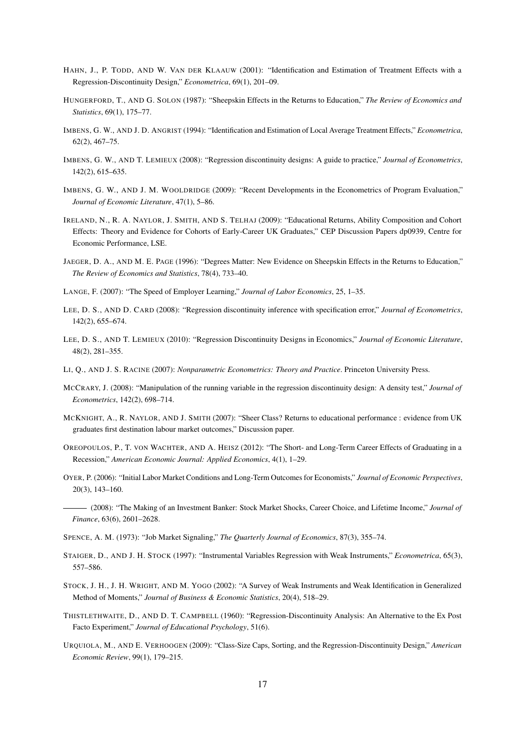- <span id="page-18-9"></span>HAHN, J., P. TODD, AND W. VAN DER KLAAUW (2001): "Identification and Estimation of Treatment Effects with a Regression-Discontinuity Design," *Econometrica*, 69(1), 201–09.
- <span id="page-18-19"></span>HUNGERFORD, T., AND G. SOLON (1987): "Sheepskin Effects in the Returns to Education," *The Review of Economics and Statistics*, 69(1), 175–77.
- <span id="page-18-16"></span>IMBENS, G. W., AND J. D. ANGRIST (1994): "Identification and Estimation of Local Average Treatment Effects," *Econometrica*, 62(2), 467–75.
- <span id="page-18-10"></span>IMBENS, G. W., AND T. LEMIEUX (2008): "Regression discontinuity designs: A guide to practice," *Journal of Econometrics*, 142(2), 615–635.
- <span id="page-18-11"></span>IMBENS, G. W., AND J. M. WOOLDRIDGE (2009): "Recent Developments in the Econometrics of Program Evaluation," *Journal of Economic Literature*, 47(1), 5–86.
- <span id="page-18-0"></span>IRELAND, N., R. A. NAYLOR, J. SMITH, AND S. TELHAJ (2009): "Educational Returns, Ability Composition and Cohort Effects: Theory and Evidence for Cohorts of Early-Career UK Graduates," CEP Discussion Papers dp0939, Centre for Economic Performance, LSE.
- <span id="page-18-20"></span>JAEGER, D. A., AND M. E. PAGE (1996): "Degrees Matter: New Evidence on Sheepskin Effects in the Returns to Education," *The Review of Economics and Statistics*, 78(4), 733–40.
- <span id="page-18-18"></span>LANGE, F. (2007): "The Speed of Employer Learning," *Journal of Labor Economics*, 25, 1–35.
- <span id="page-18-13"></span>LEE, D. S., AND D. CARD (2008): "Regression discontinuity inference with specification error," *Journal of Econometrics*, 142(2), 655–674.
- <span id="page-18-6"></span>LEE, D. S., AND T. LEMIEUX (2010): "Regression Discontinuity Designs in Economics," *Journal of Economic Literature*, 48(2), 281–355.
- <span id="page-18-12"></span>LI, Q., AND J. S. RACINE (2007): *Nonparametric Econometrics: Theory and Practice*. Princeton University Press.
- <span id="page-18-7"></span>MCCRARY, J. (2008): "Manipulation of the running variable in the regression discontinuity design: A density test," *Journal of Econometrics*, 142(2), 698–714.
- <span id="page-18-1"></span>MCKNIGHT, A., R. NAYLOR, AND J. SMITH (2007): "Sheer Class? Returns to educational performance : evidence from UK graduates first destination labour market outcomes," Discussion paper.
- <span id="page-18-3"></span>OREOPOULOS, P., T. VON WACHTER, AND A. HEISZ (2012): "The Short- and Long-Term Career Effects of Graduating in a Recession," *American Economic Journal: Applied Economics*, 4(1), 1–29.
- <span id="page-18-5"></span><span id="page-18-4"></span>OYER, P. (2006): "Initial Labor Market Conditions and Long-Term Outcomes for Economists," *Journal of Economic Perspectives*, 20(3), 143–160.
	- (2008): "The Making of an Investment Banker: Stock Market Shocks, Career Choice, and Lifetime Income," *Journal of Finance*, 63(6), 2601–2628.
- <span id="page-18-2"></span>SPENCE, A. M. (1973): "Job Market Signaling," *The Quarterly Journal of Economics*, 87(3), 355–74.
- <span id="page-18-14"></span>STAIGER, D., AND J. H. STOCK (1997): "Instrumental Variables Regression with Weak Instruments," *Econometrica*, 65(3), 557–586.
- <span id="page-18-15"></span>STOCK, J. H., J. H. WRIGHT, AND M. YOGO (2002): "A Survey of Weak Instruments and Weak Identification in Generalized Method of Moments," *Journal of Business & Economic Statistics*, 20(4), 518–29.
- <span id="page-18-8"></span>THISTLETHWAITE, D., AND D. T. CAMPBELL (1960): "Regression-Discontinuity Analysis: An Alternative to the Ex Post Facto Experiment," *Journal of Educational Psychology*, 51(6).
- <span id="page-18-17"></span>URQUIOLA, M., AND E. VERHOOGEN (2009): "Class-Size Caps, Sorting, and the Regression-Discontinuity Design," *American Economic Review*, 99(1), 179–215.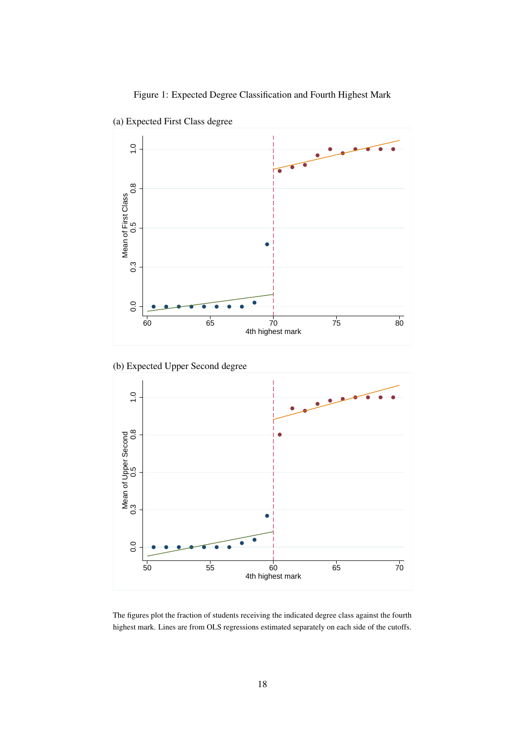<span id="page-19-0"></span>



(a) Expected First Class degree





The figures plot the fraction of students receiving the indicated degree class against the fourth highest mark. Lines are from OLS regressions estimated separately on each side of the cutoffs.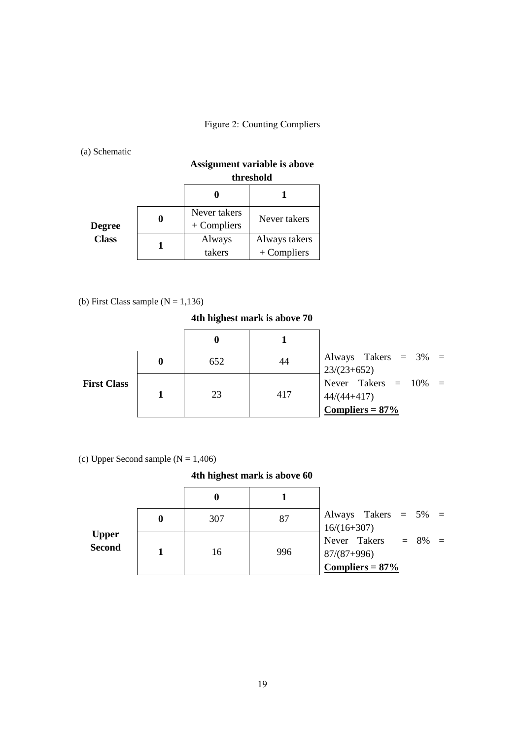## <span id="page-20-0"></span>Figure 2: Counting Compliers

(a) Schematic

|               |                               | Assignment variable is above<br>threshold |
|---------------|-------------------------------|-------------------------------------------|
|               |                               |                                           |
| <b>Degree</b> | Never takers<br>$+$ Compliers | Never takers                              |
| <b>Class</b>  | Always<br>takers              | Always takers<br>$+$ Compliers            |

(b) First Class sample  $(N = 1,136)$ 

**4th highest mark is above 70**

|                    | 652 |     | Always Takers $= 3\% =$<br>$123/(23+652)$                   |
|--------------------|-----|-----|-------------------------------------------------------------|
| <b>First Class</b> | 23  | 417 | Never Takers = $10\%$ =<br>$44/(44+417)$<br>Compliers = 87% |

(c) Upper Second sample  $(N = 1,406)$ 

### **4th highest mark is above 60**

|                               |   | 0   |     |                                                            |
|-------------------------------|---|-----|-----|------------------------------------------------------------|
|                               | 0 | 307 | 87  | Always Takers $= 5\% =$<br>$16/(16+307)$                   |
| <b>Upper</b><br><b>Second</b> |   | 16  | 996 | Never Takers $= 8\% =$<br>$87/(87+996)$<br>Compliers = 87% |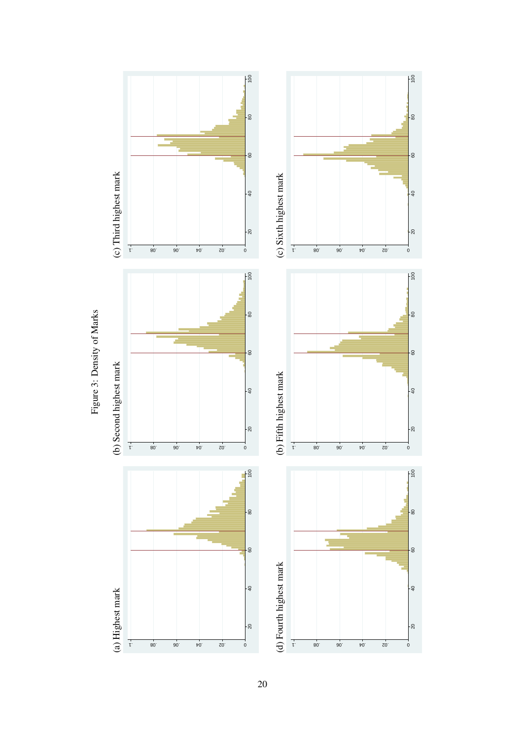<span id="page-21-0"></span>

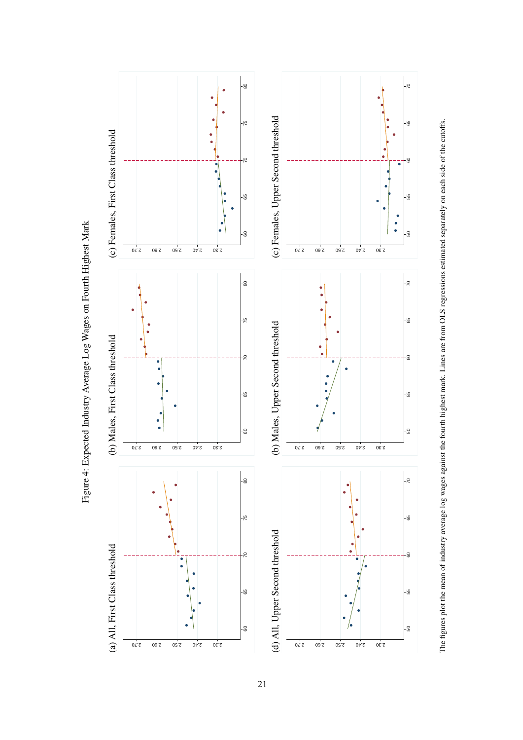<span id="page-22-0"></span>

The figures plot the mean of industry average log wages against the fourth highest mark. Lines are from OLS regressions estimated separately on each side of the cutoffs.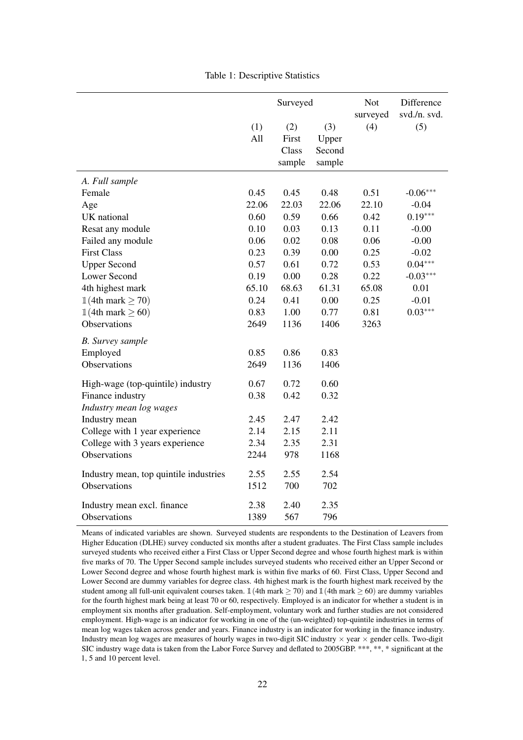|                                        |       | Surveyed |        | <b>Not</b><br>surveyed | Difference<br>svd./n. svd. |
|----------------------------------------|-------|----------|--------|------------------------|----------------------------|
|                                        | (1)   | (2)      | (3)    | (4)                    | (5)                        |
|                                        | All   | First    | Upper  |                        |                            |
|                                        |       | Class    | Second |                        |                            |
|                                        |       | sample   | sample |                        |                            |
| A. Full sample                         |       |          |        |                        |                            |
| Female                                 | 0.45  | 0.45     | 0.48   | 0.51                   | $-0.06***$                 |
| Age                                    | 22.06 | 22.03    | 22.06  | 22.10                  | $-0.04$                    |
| UK national                            | 0.60  | 0.59     | 0.66   | 0.42                   | $0.19***$                  |
| Resat any module                       | 0.10  | 0.03     | 0.13   | 0.11                   | $-0.00$                    |
| Failed any module                      | 0.06  | 0.02     | 0.08   | 0.06                   | $-0.00$                    |
| <b>First Class</b>                     | 0.23  | 0.39     | 0.00   | 0.25                   | $-0.02$                    |
| <b>Upper Second</b>                    | 0.57  | 0.61     | 0.72   | 0.53                   | $0.04***$                  |
| <b>Lower Second</b>                    | 0.19  | 0.00     | 0.28   | 0.22                   | $-0.03***$                 |
| 4th highest mark                       | 65.10 | 68.63    | 61.31  | 65.08                  | 0.01                       |
| $\mathbb{1}(4th$ mark $\geq 70)$       | 0.24  | 0.41     | 0.00   | 0.25                   | $-0.01$                    |
| $\mathbb{1}(4th$ mark $\geq 60)$       | 0.83  | 1.00     | 0.77   | 0.81                   | $0.03***$                  |
| Observations                           | 2649  | 1136     | 1406   | 3263                   |                            |
| <b>B.</b> Survey sample                |       |          |        |                        |                            |
| Employed                               | 0.85  | 0.86     | 0.83   |                        |                            |
| Observations                           | 2649  | 1136     | 1406   |                        |                            |
| High-wage (top-quintile) industry      | 0.67  | 0.72     | 0.60   |                        |                            |
| Finance industry                       | 0.38  | 0.42     | 0.32   |                        |                            |
| Industry mean log wages                |       |          |        |                        |                            |
| Industry mean                          | 2.45  | 2.47     | 2.42   |                        |                            |
| College with 1 year experience         | 2.14  | 2.15     | 2.11   |                        |                            |
| College with 3 years experience        | 2.34  | 2.35     | 2.31   |                        |                            |
| Observations                           | 2244  | 978      | 1168   |                        |                            |
| Industry mean, top quintile industries | 2.55  | 2.55     | 2.54   |                        |                            |
| Observations                           | 1512  | 700      | 702    |                        |                            |
| Industry mean excl. finance            | 2.38  | 2.40     | 2.35   |                        |                            |
| Observations                           | 1389  | 567      | 796    |                        |                            |

<span id="page-23-0"></span>Table 1: Descriptive Statistics

Means of indicated variables are shown. Surveyed students are respondents to the Destination of Leavers from Higher Education (DLHE) survey conducted six months after a student graduates. The First Class sample includes surveyed students who received either a First Class or Upper Second degree and whose fourth highest mark is within five marks of 70. The Upper Second sample includes surveyed students who received either an Upper Second or Lower Second degree and whose fourth highest mark is within five marks of 60. First Class, Upper Second and Lower Second are dummy variables for degree class. 4th highest mark is the fourth highest mark received by the student among all full-unit equivalent courses taken.  $\mathbb{1}(4th$  mark  $\geq 70)$  and  $\mathbb{1}(4th$  mark  $\geq 60)$  are dummy variables for the fourth highest mark being at least 70 or 60, respectively. Employed is an indicator for whether a student is in employment six months after graduation. Self-employment, voluntary work and further studies are not considered employment. High-wage is an indicator for working in one of the (un-weighted) top-quintile industries in terms of mean log wages taken across gender and years. Finance industry is an indicator for working in the finance industry. Industry mean log wages are measures of hourly wages in two-digit SIC industry  $\times$  year  $\times$  gender cells. Two-digit SIC industry wage data is taken from the Labor Force Survey and deflated to 2005GBP. \*\*\*, \*\*, \* significant at the 1, 5 and 10 percent level.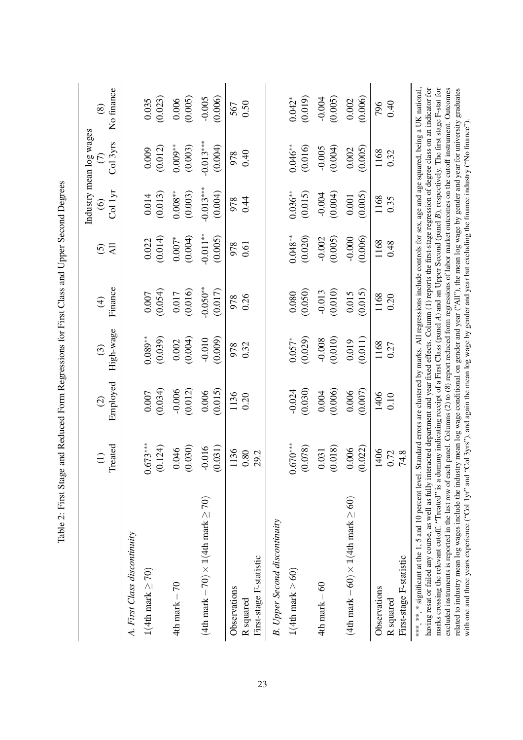<span id="page-24-0"></span>

|                                                                                                                                                                                                                                                                                                                                                                                                                                                                                                                                                                                                                                                                                                                                                                                                                                                         |                      |                                                                                                                                                                                                                                                 |              |              |                   |                   | Industry mean log wages |             |
|---------------------------------------------------------------------------------------------------------------------------------------------------------------------------------------------------------------------------------------------------------------------------------------------------------------------------------------------------------------------------------------------------------------------------------------------------------------------------------------------------------------------------------------------------------------------------------------------------------------------------------------------------------------------------------------------------------------------------------------------------------------------------------------------------------------------------------------------------------|----------------------|-------------------------------------------------------------------------------------------------------------------------------------------------------------------------------------------------------------------------------------------------|--------------|--------------|-------------------|-------------------|-------------------------|-------------|
|                                                                                                                                                                                                                                                                                                                                                                                                                                                                                                                                                                                                                                                                                                                                                                                                                                                         | Treated              | Employed                                                                                                                                                                                                                                        | High-wage    | Finance      | All               | Col 1yr           | Col 3yrs                | No finance  |
|                                                                                                                                                                                                                                                                                                                                                                                                                                                                                                                                                                                                                                                                                                                                                                                                                                                         | $\bigoplus$          | $\odot$                                                                                                                                                                                                                                         | $\odot$      | $\bigoplus$  | $\widehat{\odot}$ | $\widehat{\odot}$ | $\odot$                 | $\circledS$ |
| A. First Class discontinuity                                                                                                                                                                                                                                                                                                                                                                                                                                                                                                                                                                                                                                                                                                                                                                                                                            |                      |                                                                                                                                                                                                                                                 |              |              |                   |                   |                         |             |
| $1(4th$ mark $\geq 70)$                                                                                                                                                                                                                                                                                                                                                                                                                                                                                                                                                                                                                                                                                                                                                                                                                                 | $0.673***$           | (0.034)                                                                                                                                                                                                                                         | $0.089**$    | (0.054)      | (0.014)           | (0.013)           | (0.012)                 | (0.023)     |
|                                                                                                                                                                                                                                                                                                                                                                                                                                                                                                                                                                                                                                                                                                                                                                                                                                                         | (0.124)              | 0.007                                                                                                                                                                                                                                           | (0.039)      | 0.007        | 0.022             | 0.014             | 0.009                   | 0.035       |
| $4th$ mark $-70$                                                                                                                                                                                                                                                                                                                                                                                                                                                                                                                                                                                                                                                                                                                                                                                                                                        | (0.030)              | (0.012)                                                                                                                                                                                                                                         | (0.004)      | (0.016)      | (0.004)           | $0.008^{**}$      | $0.009**$               | (0.005)     |
|                                                                                                                                                                                                                                                                                                                                                                                                                                                                                                                                                                                                                                                                                                                                                                                                                                                         | 0.046                | $-0.006$                                                                                                                                                                                                                                        | 0.002        | 0.017        | $0.007*$          | (0.003)           | (0.003)                 | 0.006       |
| (4th mark – 70) $\times$ 1 (4th mark $\geq$ 70)                                                                                                                                                                                                                                                                                                                                                                                                                                                                                                                                                                                                                                                                                                                                                                                                         | (0.031)              | (0.015)                                                                                                                                                                                                                                         | (0.009)      | $-0.050**$   | $-0.011**$        | $-0.013***$       | $-0.013***$             | (0.006)     |
|                                                                                                                                                                                                                                                                                                                                                                                                                                                                                                                                                                                                                                                                                                                                                                                                                                                         | $-0.016$             | 0.006                                                                                                                                                                                                                                           | $-0.010$     | (0.017)      | (0.005)           | (0.004)           | (0.004)                 | $-0.005$    |
| First-stage F-statistic<br>Observations<br>R squared                                                                                                                                                                                                                                                                                                                                                                                                                                                                                                                                                                                                                                                                                                                                                                                                    | 1136<br>0.80<br>29.2 | 1136<br>0.20                                                                                                                                                                                                                                    | 0.32<br>978  | 0.26<br>978  | 978<br>0.61       | 0.44<br>978       | 978<br>0.40             | 0.50<br>567 |
| <b>B.</b> Upper Second discontinuity                                                                                                                                                                                                                                                                                                                                                                                                                                                                                                                                                                                                                                                                                                                                                                                                                    |                      |                                                                                                                                                                                                                                                 |              |              |                   |                   |                         |             |
| $1(4th$ mark $\geq 60)$                                                                                                                                                                                                                                                                                                                                                                                                                                                                                                                                                                                                                                                                                                                                                                                                                                 | $0.670***$           | (0.030)                                                                                                                                                                                                                                         | (0.029)      | (0.050)      | $0.048***$        | $0.036***$        | $0.046**$               | (0.019)     |
|                                                                                                                                                                                                                                                                                                                                                                                                                                                                                                                                                                                                                                                                                                                                                                                                                                                         | (0.078)              | $-0.024$                                                                                                                                                                                                                                        | $0.057*$     | 0.080        | (0.020)           | (0.015)           | (0.016)                 | $0.042*$    |
| $4th$ mark $-60$                                                                                                                                                                                                                                                                                                                                                                                                                                                                                                                                                                                                                                                                                                                                                                                                                                        | (0.018)              | (0.006)                                                                                                                                                                                                                                         | (0.010)      | (0.010)      | (0.005)           | (0.004)           | (0.004)                 | (0.005)     |
|                                                                                                                                                                                                                                                                                                                                                                                                                                                                                                                                                                                                                                                                                                                                                                                                                                                         | 0.031                | 0.004                                                                                                                                                                                                                                           | $-0.008$     | $-0.013$     | $-0.002$          | $-0.004$          | $-0.005$                | $-0.004$    |
| (4th mark – 60) $\times$ 1 (4th mark $\geq$ 60)                                                                                                                                                                                                                                                                                                                                                                                                                                                                                                                                                                                                                                                                                                                                                                                                         | (0.022)              | (0.007)                                                                                                                                                                                                                                         | (0.011)      | (0.015)      | (0.006)           | (0.005)           | (0.005)                 | (0.006)     |
|                                                                                                                                                                                                                                                                                                                                                                                                                                                                                                                                                                                                                                                                                                                                                                                                                                                         | 0.006                | 0.006                                                                                                                                                                                                                                           | 0.019        | 0.015        | $-0.000$          | 0.001             | 0.002                   | 0.002       |
| First-stage F-statistic<br>Observations<br>R <sub>squared</sub>                                                                                                                                                                                                                                                                                                                                                                                                                                                                                                                                                                                                                                                                                                                                                                                         | 1406<br>0.72<br>74.8 | 1406<br>0.10                                                                                                                                                                                                                                    | 1168<br>0.27 | 1168<br>0.20 | 1168<br>0.48      | 1168<br>0.35      | 1168<br>0.32            | 0.40<br>796 |
| marks crossing the relevant cutoff. "Treated" is a dummy indicating receipt of a First Class (panel A) and an Upper Second (panel B), respectively. The first stage F-stat for<br>having resat or failed any course, as well as fully interacted department and year fixed effects. Column (1) reports the first-stage regression of degree class on an indicator for<br>related to industry mean log wages include the industry mean log wage conditional on gender and year ("All"), the mean log wage by gender and year for university graduates<br>excluded instruments is reported in the last row of each panel. Columns (2) to (8) report reduced form regressions of labor market outcomes on the cutoff instrument. Outcomes<br>***, **, * significant at the 1, 5 and 10 percent level<br>with one and three years experience ("Col 1yr" and |                      | . Standard errors are clustered by marks. All regressions include controls for sex, age and age squared, being a UK national,<br>"Col 3yrs"), and again the mean log wage by gender and year but excluding the finance industry ("No finance"). |              |              |                   |                   |                         |             |

Table 2: First Stage and Reduced Form Regressions for First Class and Upper Second Degrees Table 2: First Stage and Reduced Form Regressions for First Class and Upper Second Degrees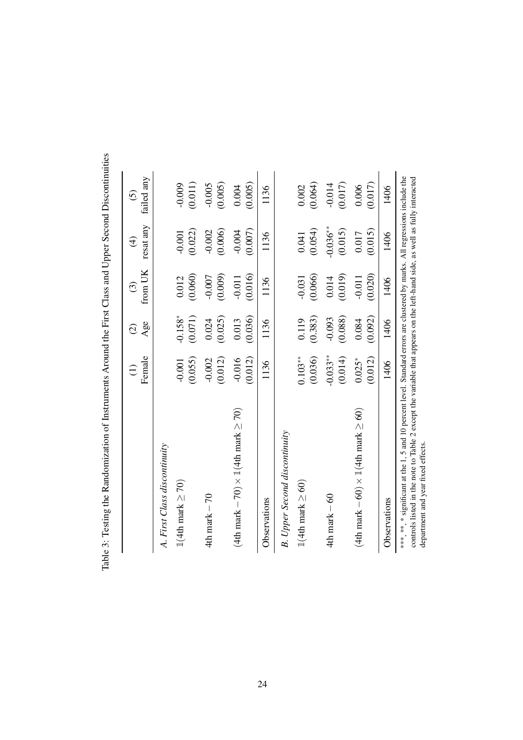|                                                | Female          | Age               | from UK  | resat any   | failed any        |
|------------------------------------------------|-----------------|-------------------|----------|-------------|-------------------|
|                                                | $\widehat{\Xi}$ | $\widehat{\odot}$ | $\odot$  | $\bigoplus$ | $\widehat{\circ}$ |
| A. First Class discontinuity                   |                 |                   |          |             |                   |
| $1(4th$ mark $\geq 70)$                        | (0.055)         | $-0.158*$         | (0.060)  | (0.022)     | (0.011)           |
|                                                | $-0.001$        | (0.071)           | 0.012    | $-0.001$    | $-0.009$          |
| 4th mark $-70$                                 | (0.012)         | (0.025)           | (0.009)  | (0.006)     | (0.005)           |
|                                                | $-0.002$        | 0.024             | $-0.007$ | $-0.002$    | $-0.005$          |
| (4th mark – 70) $\times$ 1(4th mark $\geq$ 70) | (0.012)         | (0.036)           | (0.016)  | (0.007)     | (0.005)           |
|                                                | $-0.016$        | 0.013             | $-0.011$ | $-0.004$    | 0.004             |
| Observations                                   | 1136            | 1136              | 1136     | 1136        | 1136              |
| <b>B.</b> Upper Second discontinuity           |                 |                   |          |             |                   |
| $1(4th$ mark $\geq 60)$                        | $0.103***$      | (0.383)           | (0.066)  | (0.054)     | (0.064)           |
|                                                | (0.036)         | 0.119             | $-0.031$ | 0.041       | 0.002             |
| $4th$ mark $-60$                               | $-0.033**$      | (0.088)           | (0.019)  | $-0.036***$ | (0.017)           |
|                                                | (0.014)         | $-0.093$          | 0.014    | (0.015)     | $-0.014$          |
| (4th mark – 60) $\times$ 1(4th mark $\geq$ 60) | (0.012)         | (0.092)           | (0.020)  | (0.015)     | (0.017)           |
|                                                | $0.025*$        | 0.084             | $-0.011$ | 0.017       | 0.006             |
| Observations                                   | 1406            | 1406              | 1406     | 1406        | 1406              |

<span id="page-25-0"></span>Table 3: Testing the Randomization of Instruments Around the First Class and Upper Second Discontinuities Table 3: Testing the Randomization of Instruments Around the First Class and Upper Second Discontinuities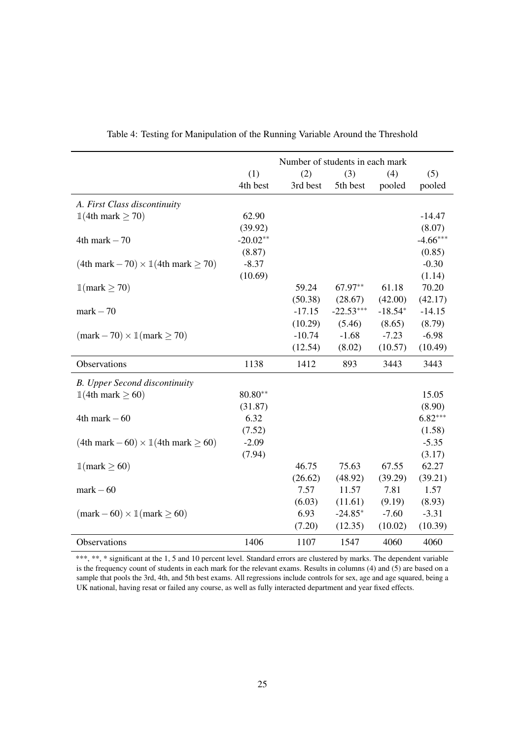|                                                            |            | Number of students in each mark |             |           |            |
|------------------------------------------------------------|------------|---------------------------------|-------------|-----------|------------|
|                                                            | (1)        | (2)                             | (3)         | (4)       | (5)        |
|                                                            | 4th best   | 3rd best                        | 5th best    | pooled    | pooled     |
| A. First Class discontinuity                               |            |                                 |             |           |            |
| $\mathbb{1}(4th$ mark $\geq 70)$                           | 62.90      |                                 |             |           | $-14.47$   |
|                                                            | (39.92)    |                                 |             |           | (8.07)     |
| $4th$ mark $-70$                                           | $-20.02**$ |                                 |             |           | $-4.66***$ |
|                                                            | (8.87)     |                                 |             |           | (0.85)     |
| $(4th$ mark $-70 \times 1(4th$ mark $\geq 70)$             | $-8.37$    |                                 |             |           | $-0.30$    |
|                                                            | (10.69)    |                                 |             |           | (1.14)     |
| $\mathbb{1}$ (mark $\geq 70$ )                             |            | 59.24                           | 67.97**     | 61.18     | 70.20      |
|                                                            |            | (50.38)                         | (28.67)     | (42.00)   | (42.17)    |
| $mark - 70$                                                |            | $-17.15$                        | $-22.53***$ | $-18.54*$ | $-14.15$   |
|                                                            |            | (10.29)                         | (5.46)      | (8.65)    | (8.79)     |
| $(\text{mark} - 70) \times \mathbb{1}(\text{mark} \ge 70)$ |            | $-10.74$                        | $-1.68$     | $-7.23$   | $-6.98$    |
|                                                            |            | (12.54)                         | (8.02)      | (10.57)   | (10.49)    |
| Observations                                               | 1138       | 1412                            | 893         | 3443      | 3443       |
| <b>B.</b> Upper Second discontinuity                       |            |                                 |             |           |            |
| $\mathbb{1}(4th$ mark $\geq 60)$                           | $80.80**$  |                                 |             |           | 15.05      |
|                                                            | (31.87)    |                                 |             |           | (8.90)     |
| $4th$ mark $-60$                                           | 6.32       |                                 |             |           | $6.82***$  |
|                                                            | (7.52)     |                                 |             |           | (1.58)     |
| $(4th$ mark $-60 \times 1(4th$ mark $\geq 60)$             | $-2.09$    |                                 |             |           | $-5.35$    |
|                                                            | (7.94)     |                                 |             |           | (3.17)     |
| $\mathbb{1}$ (mark $\geq 60$ )                             |            | 46.75                           | 75.63       | 67.55     | 62.27      |
|                                                            |            | (26.62)                         | (48.92)     | (39.29)   | (39.21)    |
| $mark - 60$                                                |            | 7.57                            | 11.57       | 7.81      | 1.57       |
|                                                            |            | (6.03)                          | (11.61)     | (9.19)    | (8.93)     |
| $(\text{mark} - 60) \times \mathbb{1}(\text{mark} \ge 60)$ |            | 6.93                            | $-24.85*$   | $-7.60$   | $-3.31$    |
|                                                            |            | (7.20)                          | (12.35)     | (10.02)   | (10.39)    |
| Observations                                               | 1406       | 1107                            | 1547        | 4060      | 4060       |

<span id="page-26-0"></span>

\*\*\*, \*\*, \* significant at the 1, 5 and 10 percent level. Standard errors are clustered by marks. The dependent variable is the frequency count of students in each mark for the relevant exams. Results in columns (4) and (5) are based on a sample that pools the 3rd, 4th, and 5th best exams. All regressions include controls for sex, age and age squared, being a UK national, having resat or failed any course, as well as fully interacted department and year fixed effects.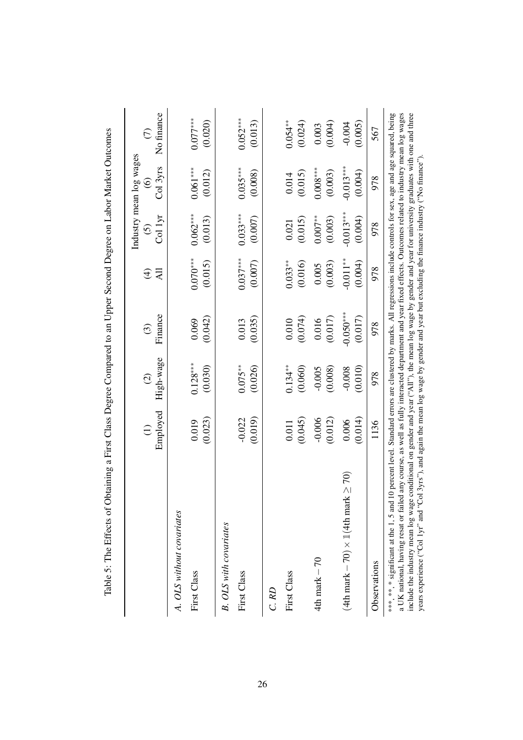|                                                                                                                                                                                                                                                                                                                                                                                                                                                                                                                                                                                                                                                     |                     |                                      |                        |                           |                              | Industry mean log wages       |                               |
|-----------------------------------------------------------------------------------------------------------------------------------------------------------------------------------------------------------------------------------------------------------------------------------------------------------------------------------------------------------------------------------------------------------------------------------------------------------------------------------------------------------------------------------------------------------------------------------------------------------------------------------------------------|---------------------|--------------------------------------|------------------------|---------------------------|------------------------------|-------------------------------|-------------------------------|
|                                                                                                                                                                                                                                                                                                                                                                                                                                                                                                                                                                                                                                                     | Employed            | High-wage<br>$\widehat{\mathcal{O}}$ | Finance<br>$\odot$     | <b>All</b><br>$\bigoplus$ | Col lyr<br>$\widehat{\odot}$ | Col 3yrs<br>$\widehat{\circ}$ | No finance<br>$\widehat{\in}$ |
| A. OLS without covariates                                                                                                                                                                                                                                                                                                                                                                                                                                                                                                                                                                                                                           |                     |                                      |                        |                           |                              |                               |                               |
| First Class                                                                                                                                                                                                                                                                                                                                                                                                                                                                                                                                                                                                                                         | (0.023)<br>0.019    | $0.128***$<br>(0.030)                | (0.042)<br>0.069       | $0.070***$<br>(0.015)     | $0.062***$<br>(0.013)        | $0.061***$<br>(0.012)         | $0.077***$<br>(0.020)         |
| <b>B.</b> OLS with covariates                                                                                                                                                                                                                                                                                                                                                                                                                                                                                                                                                                                                                       |                     |                                      |                        |                           |                              |                               |                               |
| First Class                                                                                                                                                                                                                                                                                                                                                                                                                                                                                                                                                                                                                                         | (0.019)<br>$-0.022$ | $0.075***$<br>(0.026)                | (0.035)<br>0.013       | $0.037***$<br>(0.007)     | $0.033***$<br>(0.007)        | $0.035***$<br>(0.008)         | $0.052***$<br>(0.013)         |
| C.RD                                                                                                                                                                                                                                                                                                                                                                                                                                                                                                                                                                                                                                                |                     |                                      |                        |                           |                              |                               |                               |
| First Class                                                                                                                                                                                                                                                                                                                                                                                                                                                                                                                                                                                                                                         | (0.045)<br>0.011    | $0.134***$<br>(0.060)                | (0.074)<br>0.010       | $0.033***$<br>(0.016)     | (0.015)<br>0.021             | (0.015)<br>0.014              | $0.054***$<br>(0.024)         |
| $4th$ mark $-70$                                                                                                                                                                                                                                                                                                                                                                                                                                                                                                                                                                                                                                    | $-0.006$<br>(0.012) | (0.008)<br>$-0.005$                  | (0.017)<br>0.016       | (0.003)<br>0.005          | $0.007**$<br>(0.003)         | $0.008***$<br>(0.003)         | (0.004)<br>0.003              |
| (4th mark $-70$ ) $\times$ 1(4th mark $\geq$ 70)                                                                                                                                                                                                                                                                                                                                                                                                                                                                                                                                                                                                    | (0.014)<br>0.006    | (0.010)<br>$-0.008$                  | $-0.050***$<br>(0.017) | $-0.011**$<br>(0.004)     | $-0.013***$<br>(0.004)       | $-0.013***$<br>(0.004)        | $-0.004$<br>(0.005)           |
| Observations                                                                                                                                                                                                                                                                                                                                                                                                                                                                                                                                                                                                                                        | 1136                | 978                                  | 978                    | 978                       | 978                          | 978                           | 567                           |
| ***, * * significant at the 1, 5 and 10 percent level. Standard errors are clustered by marks. All regressions include controls for sex, age and age squared, being<br>a UK national, having resat or failed any course, as well as fully interacted department and year fixed effects. Outcomes related to industry mean log wages<br>include the industry mean log wage conditional on gender and year ("All"), the mean log wage by gender and year for university graduates with one and three<br>years experience ("Col 1yr" and "Col 3yrs"), and again the mean log wage by gender and year but excluding the finance industry ("No finance") |                     |                                      |                        |                           |                              |                               |                               |

<span id="page-27-0"></span>Ć  $\overline{a}$  $\overline{1}$ J,  $\overline{a}$  $\frac{6}{7}$ c  $\frac{1}{\mu}$ ÷, ć  $\sqrt{2}$  $\bar{t}$  $\dot{\mathbf{r}}$  $\ddot{\phantom{a}}$  $\ddot{\phantom{a}}$  $\overline{\zeta}$  $\ddot{\cdot}$  $\Gamma$  $\overline{E}$  $\overline{u}$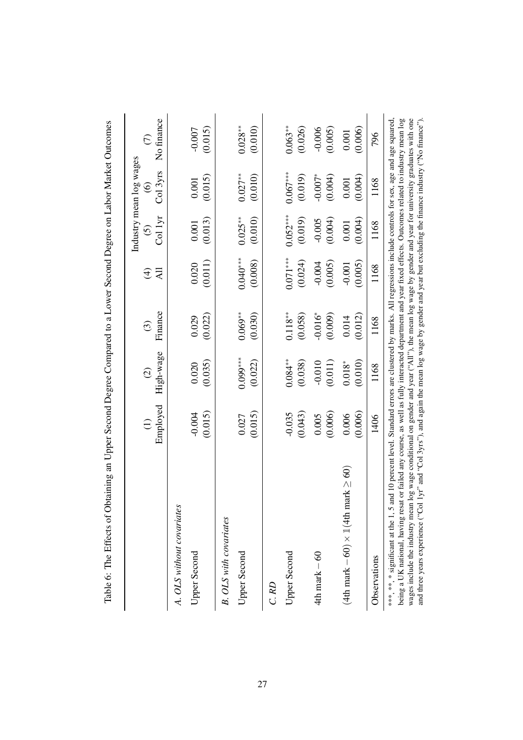<span id="page-28-0"></span>

| Table 6: The Effects of Obtaining an Upper Second Degree Compared to a Lower Second Degree on Labor Market Outcomes                                                                                                                                                                                                                                                                                                                                                                                                       |                                                                                                                              |                |                    |                          |            |                         |               |
|---------------------------------------------------------------------------------------------------------------------------------------------------------------------------------------------------------------------------------------------------------------------------------------------------------------------------------------------------------------------------------------------------------------------------------------------------------------------------------------------------------------------------|------------------------------------------------------------------------------------------------------------------------------|----------------|--------------------|--------------------------|------------|-------------------------|---------------|
|                                                                                                                                                                                                                                                                                                                                                                                                                                                                                                                           |                                                                                                                              |                |                    |                          |            | Industry mean log wages |               |
|                                                                                                                                                                                                                                                                                                                                                                                                                                                                                                                           | $\widehat{\Xi}$                                                                                                              | $\widehat{c}$  | $\odot$            | $\widehat{\mathfrak{t}}$ | $\odot$    | $\widehat{\mathbf{e}}$  | $\widehat{C}$ |
|                                                                                                                                                                                                                                                                                                                                                                                                                                                                                                                           | Employed                                                                                                                     | High-wage      | Finance            | EK                       | Col 1yr    | Col 3yrs                | No finance    |
| A. OLS without covariates                                                                                                                                                                                                                                                                                                                                                                                                                                                                                                 |                                                                                                                              |                |                    |                          |            |                         |               |
| <b>Upper Second</b>                                                                                                                                                                                                                                                                                                                                                                                                                                                                                                       | $-0.004$                                                                                                                     | 0.020          | 0.029              | 0.020                    | 0.001      | 0.001                   | $-0.007$      |
|                                                                                                                                                                                                                                                                                                                                                                                                                                                                                                                           | (0.015)                                                                                                                      | (0.035)        | (0.022)            | (0.011)                  | (0.013)    | (0.015)                 | (0.015)       |
| <b>B.</b> OLS with covariates                                                                                                                                                                                                                                                                                                                                                                                                                                                                                             |                                                                                                                              |                |                    |                          |            |                         |               |
| <b>Upper Second</b>                                                                                                                                                                                                                                                                                                                                                                                                                                                                                                       | 0.027                                                                                                                        | $0.099***$     | $0.069**$          | $0.040***$               | $0.025***$ | $0.027**$               | $0.028***$    |
|                                                                                                                                                                                                                                                                                                                                                                                                                                                                                                                           | (0.015)                                                                                                                      | (0.022)        | (0.030)            | (0.008)                  | (0.010)    | (0.010)                 | (0.010)       |
| C.RD                                                                                                                                                                                                                                                                                                                                                                                                                                                                                                                      |                                                                                                                              |                |                    |                          |            |                         |               |
| Upper Second                                                                                                                                                                                                                                                                                                                                                                                                                                                                                                              | $-0.035$                                                                                                                     | $0.084**$      | $0.118^{\ast\ast}$ | $0.071***$               | $0.052***$ | $0.067***$              | $0.063**$     |
|                                                                                                                                                                                                                                                                                                                                                                                                                                                                                                                           | (0.043)                                                                                                                      | (0.038)        | (0.058)            | (0.024)                  | (0.019)    | (0.019)                 | (0.026)       |
| $4th$ mark $-60$                                                                                                                                                                                                                                                                                                                                                                                                                                                                                                          | 0.005                                                                                                                        | $-0.010$       | $-0.016*$          | $-0.004$                 | $-0.005$   | $-0.007*$               | $-0.006$      |
|                                                                                                                                                                                                                                                                                                                                                                                                                                                                                                                           | (0.006)                                                                                                                      | (0.011)        | (0.009)            | (0.005)                  | (0.004)    | (0.004)                 | (0.005)       |
| (4th mark – 60) $\times$ 1(4th mark $\geq$ 60)                                                                                                                                                                                                                                                                                                                                                                                                                                                                            | 0.006                                                                                                                        | $0.018^{\ast}$ | 0.014              | $-0.001$                 | 0.001      | 0.001                   | 0.001         |
|                                                                                                                                                                                                                                                                                                                                                                                                                                                                                                                           | (0.006)                                                                                                                      | (0.010)        | (0.012)            | (0.005)                  | (0.004)    | (0.004)                 | (0.006)       |
| Observations                                                                                                                                                                                                                                                                                                                                                                                                                                                                                                              | 1406                                                                                                                         | 1168           | 1168               | 1168                     | 1168       | 1168                    | 796           |
| wages include the industry mean log wage conditional on gender and year ("All"), the mean log wage by gender and year for university graduates with one<br>being a UK national, having resat or failed any course, as well as fully interacted department and year fixed effects. Outcomes related to industry mean log<br>and three years experience ("Col 1yr" and "Col 3yrs"), and again the mean log wage by gender and year but excluding the finance industry ("No finance").<br>***, **, * significant at the 1, 5 | and 10 percent level. Standard errors are clustered by marks. All regressions include controls for sex, age and age squared, |                |                    |                          |            |                         |               |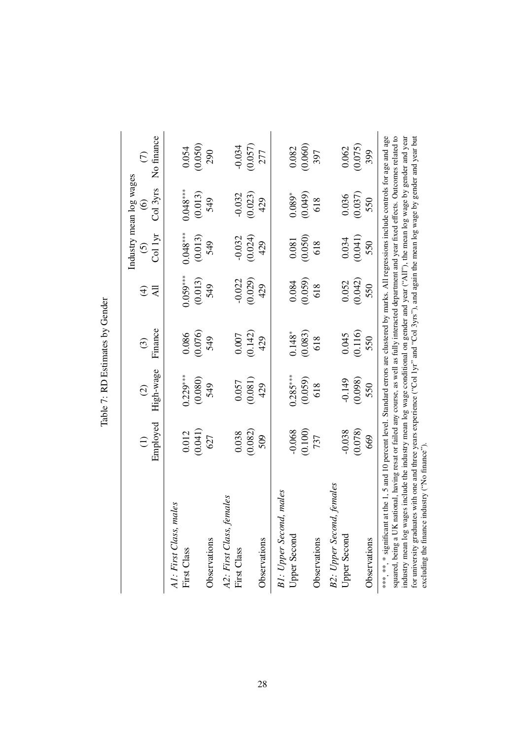<span id="page-29-0"></span>

|                                                                                                                                                                                                                                                                                                                                                  |                                                                                                                                                                                                                                                      |               |          |                 |                       | Industry mean log wages |               |
|--------------------------------------------------------------------------------------------------------------------------------------------------------------------------------------------------------------------------------------------------------------------------------------------------------------------------------------------------|------------------------------------------------------------------------------------------------------------------------------------------------------------------------------------------------------------------------------------------------------|---------------|----------|-----------------|-----------------------|-------------------------|---------------|
|                                                                                                                                                                                                                                                                                                                                                  |                                                                                                                                                                                                                                                      | $\widehat{c}$ | $\odot$  | $\bigoplus$     | $\odot$               | $\widehat{\circ}$       | $\widehat{C}$ |
|                                                                                                                                                                                                                                                                                                                                                  | Employed                                                                                                                                                                                                                                             | High-wage     | Finance  | $\overline{AB}$ | $\overline{C}$ ol 1yr | Col 3yrs                | No finance    |
| A1: First Class, males                                                                                                                                                                                                                                                                                                                           |                                                                                                                                                                                                                                                      |               |          |                 |                       |                         |               |
| First Class                                                                                                                                                                                                                                                                                                                                      | 0.012                                                                                                                                                                                                                                                | $0.229***$    | 0.086    | $0.059***$      | $0.048***$            | $0.048***$              | 0.054         |
|                                                                                                                                                                                                                                                                                                                                                  | (0.041)                                                                                                                                                                                                                                              | (0.080)       | (0.076)  | (0.013)         | $(0.013)$<br>549      | (0.013)                 | (0.050)       |
| Observations                                                                                                                                                                                                                                                                                                                                     | 627                                                                                                                                                                                                                                                  | 549           | 549      | 549             |                       | 549                     | 290           |
| A2: First Class, females                                                                                                                                                                                                                                                                                                                         |                                                                                                                                                                                                                                                      |               |          |                 |                       |                         |               |
| First Class                                                                                                                                                                                                                                                                                                                                      | 0.038                                                                                                                                                                                                                                                | 0.057         | 0.007    | $-0.022$        | $-0.032$              | $-0.032$                | $-0.034$      |
|                                                                                                                                                                                                                                                                                                                                                  | (0.082)                                                                                                                                                                                                                                              | (0.081)       | (0.142)  | (0.029)         | (0.024)               | (0.023)                 | (0.057)       |
| Observations                                                                                                                                                                                                                                                                                                                                     | 509                                                                                                                                                                                                                                                  | 429           | 429      | 429             | 429                   | 429                     | 277           |
| B1: Upper Second, males                                                                                                                                                                                                                                                                                                                          |                                                                                                                                                                                                                                                      |               |          |                 |                       |                         |               |
| <b>Upper Second</b>                                                                                                                                                                                                                                                                                                                              | $-0.068$                                                                                                                                                                                                                                             | $0.285***$    | $0.148*$ | 0.084           | 0.081                 | $0.089*$                | 0.082         |
|                                                                                                                                                                                                                                                                                                                                                  | (0.100)                                                                                                                                                                                                                                              | (0.059)       | (0.083)  | (0.059)         | (0.050)               | (0.049)                 | (0.060)       |
| Observations                                                                                                                                                                                                                                                                                                                                     | 737                                                                                                                                                                                                                                                  | 618           | 618      | 618             | 618                   | 618                     | 397           |
| B2: Upper Second, females                                                                                                                                                                                                                                                                                                                        |                                                                                                                                                                                                                                                      |               |          |                 |                       |                         |               |
| Upper Second                                                                                                                                                                                                                                                                                                                                     | $-0.038$                                                                                                                                                                                                                                             | $-0.149$      | 0.045    | 0.052           | 0.034                 | 0.036                   | 0.062         |
|                                                                                                                                                                                                                                                                                                                                                  | (0.078)                                                                                                                                                                                                                                              | (0.098)       | (0.116)  | (0.042)         | (0.041)               | (0.037)                 | (0.075)       |
| Observations                                                                                                                                                                                                                                                                                                                                     | 669                                                                                                                                                                                                                                                  | 550           | 550      | 550             | 550                   | 550                     | 399           |
| squared, being a UK national, having resat or failed any course, as well as fully interacted department and year fixed effects. Outcomes related to<br>industry mean log wages include the industry mean log wage conditional on gender and year ("All"), the mean log wage by gender and year<br>*** ** * significant<br>for university graduat | at the 1, 5 and 10 percent level. Standard errors are clustered by marks. All regressions include controls for age and age<br>tes with one and three years experience ("Col 1yr" and "Col 3yrs"), and again the mean log wage by gender and year but |               |          |                 |                       |                         |               |
| industry ("No finance").<br>excluding the finance                                                                                                                                                                                                                                                                                                |                                                                                                                                                                                                                                                      |               |          |                 |                       |                         |               |

Table 7: RD Estimates by Gender Table 7: RD Estimates by Gender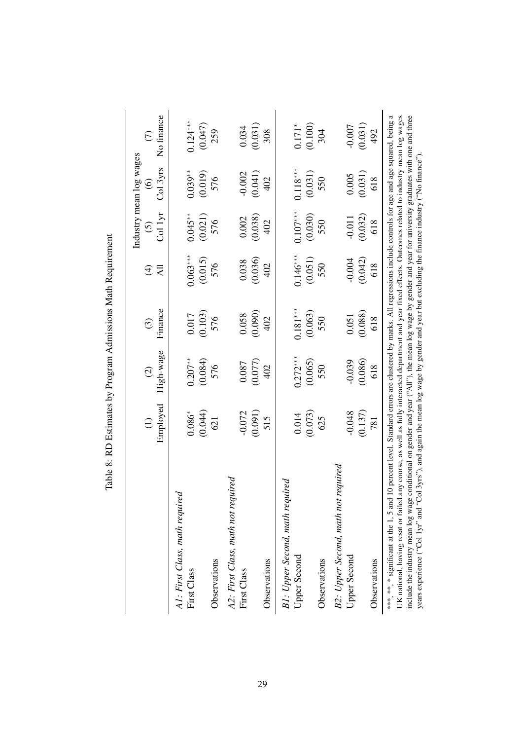<span id="page-30-0"></span>

|                                                                                                                                                                                                                                                                                                                                                                                                                                                                                                                                                                                                                                                     |                  |                                               |            |                          |            | Industry mean log wages |                                  |
|-----------------------------------------------------------------------------------------------------------------------------------------------------------------------------------------------------------------------------------------------------------------------------------------------------------------------------------------------------------------------------------------------------------------------------------------------------------------------------------------------------------------------------------------------------------------------------------------------------------------------------------------------------|------------------|-----------------------------------------------|------------|--------------------------|------------|-------------------------|----------------------------------|
|                                                                                                                                                                                                                                                                                                                                                                                                                                                                                                                                                                                                                                                     |                  | $\widehat{c}$                                 | $\odot$    | $\widehat{\mathfrak{t}}$ | $\odot$    | $\widehat{\odot}$       | $\widehat{\mathcal{C}}$          |
|                                                                                                                                                                                                                                                                                                                                                                                                                                                                                                                                                                                                                                                     | Employed         | High-wage                                     | Finance    | All                      | Col 1yr    | Col 3yrs                | No finance                       |
| A1: First Class, math required                                                                                                                                                                                                                                                                                                                                                                                                                                                                                                                                                                                                                      |                  |                                               |            |                          |            |                         |                                  |
| First Class                                                                                                                                                                                                                                                                                                                                                                                                                                                                                                                                                                                                                                         | $0.086*$         | $0.207**$                                     | 0.017      | $0.063***$               | $0.045**$  | $0.039***$              | $0.124***$                       |
|                                                                                                                                                                                                                                                                                                                                                                                                                                                                                                                                                                                                                                                     | (0.044)          | (0.084)                                       | (0.103)    | (0.015)                  | (0.021)    | (0.019)                 | (0.047)                          |
| Observations                                                                                                                                                                                                                                                                                                                                                                                                                                                                                                                                                                                                                                        | 621              | 576                                           | 576        | 576                      | 576        | 576                     | 259                              |
| A2: First Class, math not required                                                                                                                                                                                                                                                                                                                                                                                                                                                                                                                                                                                                                  |                  |                                               |            |                          |            |                         |                                  |
| First Class                                                                                                                                                                                                                                                                                                                                                                                                                                                                                                                                                                                                                                         | $-0.072$         | 0.087                                         | 0.058      | 0.038                    | 0.002      | $-0.002$                | 0.034                            |
|                                                                                                                                                                                                                                                                                                                                                                                                                                                                                                                                                                                                                                                     | (0.091)          | $\begin{array}{c} (0.077) \\ 402 \end{array}$ | (0.090)    | (0.036)                  | (0.038)    | (0.041)                 | (0.031)                          |
| Observations                                                                                                                                                                                                                                                                                                                                                                                                                                                                                                                                                                                                                                        | 515              |                                               | 402        | 402                      | 402        | 402                     | 308                              |
| B1: Upper Second, math required                                                                                                                                                                                                                                                                                                                                                                                                                                                                                                                                                                                                                     |                  |                                               |            |                          |            |                         |                                  |
| Upper Second                                                                                                                                                                                                                                                                                                                                                                                                                                                                                                                                                                                                                                        | 0.014            | $0.272***$                                    | $0.181***$ | $0.146***$               | $0.107***$ | $0.118***$              |                                  |
|                                                                                                                                                                                                                                                                                                                                                                                                                                                                                                                                                                                                                                                     | $(0.073)$<br>625 | (0.065)                                       | (0.063)    | (0.051)                  | (0.030)    | (0.031)                 | $\frac{0.171^*}{(0.100)}$<br>304 |
| Observations                                                                                                                                                                                                                                                                                                                                                                                                                                                                                                                                                                                                                                        |                  | 550                                           | 550        | 550                      | 550        | 550                     |                                  |
| B2: Upper Second, math not required                                                                                                                                                                                                                                                                                                                                                                                                                                                                                                                                                                                                                 |                  |                                               |            |                          |            |                         |                                  |
| <b>Upper Second</b>                                                                                                                                                                                                                                                                                                                                                                                                                                                                                                                                                                                                                                 | $-0.048$         | $-0.039$                                      | 0.051      | $-0.004$                 | $-0.011$   | 0.005                   | $-0.007$                         |
|                                                                                                                                                                                                                                                                                                                                                                                                                                                                                                                                                                                                                                                     | (0.137)          | (0.086)                                       | (0.088)    | (0.042)                  | (0.032)    | (0.031)                 | (0.031)                          |
| Observations                                                                                                                                                                                                                                                                                                                                                                                                                                                                                                                                                                                                                                        | 781              | 618                                           | 618        | 618                      | 618        | 618                     | 492                              |
| UK national, having resat or failed any course, as well as fully interacted department and year fixed effects. Outcomes related to industry mean log wages<br>include the industry mean log wage conditional on gender and year ("All"), the mean log wage by gender and year for university graduates with one and three<br>***, **, ** significant at the 1, 5 and 10 percent level. Standard errors are clustered by marks. All regressions include controls for age and age squared, being<br>"Col 3yrs"), and again the mean log wage by gender and year but excluding the finance industry ("No finance").<br>years experience ("Col 1yr" and |                  |                                               |            |                          |            |                         | a                                |

Table 8: RD Estimates by Program Admissions Math Requirement Table 8: RD Estimates by Program Admissions Math Requirement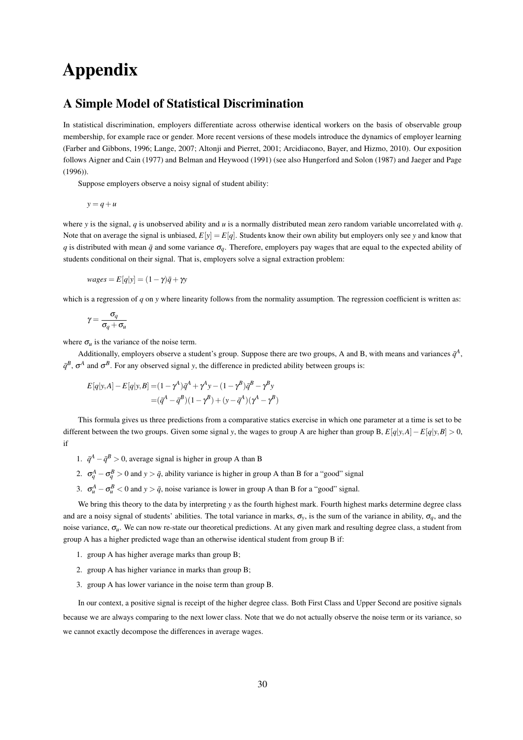# Appendix

### A Simple Model of Statistical Discrimination

In statistical discrimination, employers differentiate across otherwise identical workers on the basis of observable group membership, for example race or gender. More recent versions of these models introduce the dynamics of employer learning [\(Farber and Gibbons, 1996;](#page-17-15) [Lange, 2007;](#page-18-18) [Altonji and Pierret, 2001;](#page-17-16) [Arcidiacono, Bayer, and Hizmo, 2010\)](#page-17-17). Our exposition follows [Aigner and Cain](#page-17-18) [\(1977\)](#page-17-18) and [Belman and Heywood](#page-17-19) [\(1991\)](#page-17-19) (see also [Hungerford and Solon](#page-18-19) [\(1987\)](#page-18-19) and [Jaeger and Page](#page-18-20) [\(1996\)](#page-18-20)).

Suppose employers observe a noisy signal of student ability:

$$
y = q + u
$$

where *y* is the signal, *q* is unobserved ability and *u* is a normally distributed mean zero random variable uncorrelated with *q*. Note that on average the signal is unbiased,  $E[y] = E[q]$ . Students know their own ability but employers only see *y* and know that *q* is distributed with mean  $\bar{q}$  and some variance  $\sigma_q$ . Therefore, employers pay wages that are equal to the expected ability of students conditional on their signal. That is, employers solve a signal extraction problem:

$$
wages = E[q|y] = (1 - \gamma)\bar{q} + \gamma y
$$

which is a regression of *q* on *y* where linearity follows from the normality assumption. The regression coefficient is written as:

$$
\gamma = \frac{\sigma_q}{\sigma_q + \sigma_u}
$$

where  $\sigma_u$  is the variance of the noise term.

Additionally, employers observe a student's group. Suppose there are two groups, A and B, with means and variances  $\bar{q}^A$ ,  $\bar{q}^B$ ,  $\sigma^A$  and  $\sigma^B$ . For any observed signal *y*, the difference in predicted ability between groups is:

$$
E[q|y,A] - E[q|y,B] = (1 - \gamma^A)\bar{q}^A + \gamma^A y - (1 - \gamma^B)\bar{q}^B - \gamma^B y
$$
  
=  $(\bar{q}^A - \bar{q}^B)(1 - \gamma^B) + (y - \bar{q}^A)(\gamma^A - \gamma^B)$ 

This formula gives us three predictions from a comparative statics exercise in which one parameter at a time is set to be different between the two groups. Given some signal *y*, the wages to group A are higher than group B,  $E[q|y,A] - E[q|y,B] > 0$ , if

- 1.  $\bar{q}^A \bar{q}^B > 0$ , average signal is higher in group A than B
- 2.  $\sigma_q^A \sigma_q^B > 0$  and  $y > \bar{q}$ , ability variance is higher in group A than B for a "good" signal
- 3.  $\sigma_u^A \sigma_u^B < 0$  and  $y > \bar{q}$ , noise variance is lower in group A than B for a "good" signal.

We bring this theory to the data by interpreting *y* as the fourth highest mark. Fourth highest marks determine degree class and are a noisy signal of students' abilities. The total variance in marks,  $\sigma_v$ , is the sum of the variance in ability,  $\sigma_q$ , and the noise variance, σ*u*. We can now re-state our theoretical predictions. At any given mark and resulting degree class, a student from group A has a higher predicted wage than an otherwise identical student from group B if:

- 1. group A has higher average marks than group B;
- 2. group A has higher variance in marks than group B;
- 3. group A has lower variance in the noise term than group B.

In our context, a positive signal is receipt of the higher degree class. Both First Class and Upper Second are positive signals because we are always comparing to the next lower class. Note that we do not actually observe the noise term or its variance, so we cannot exactly decompose the differences in average wages.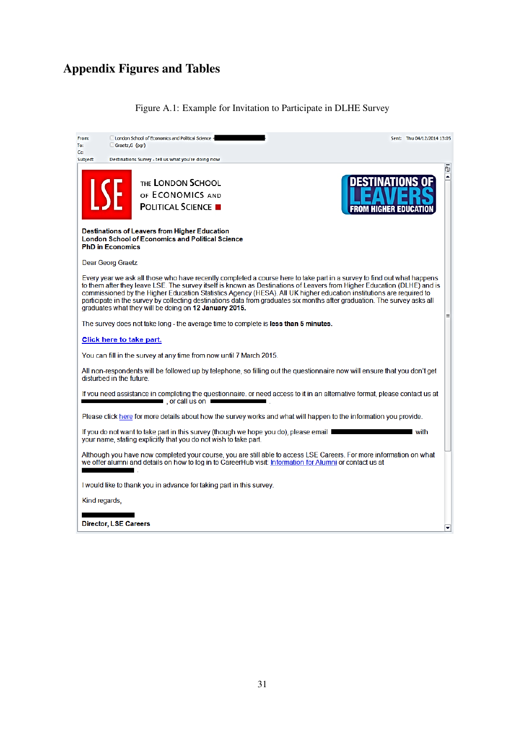# Appendix Figures and Tables

## <span id="page-32-0"></span>Figure A.1: Example for Invitation to Participate in DLHE Survey

| From:<br>To:   | <b>El London School of Economics and Political Science -</b><br>Graetz,G (pgr)                                                                                                                                                                                                                                                                                                                                                                                                                                                                                  | Sent: Thu 04/12/2014 13:05     |
|----------------|-----------------------------------------------------------------------------------------------------------------------------------------------------------------------------------------------------------------------------------------------------------------------------------------------------------------------------------------------------------------------------------------------------------------------------------------------------------------------------------------------------------------------------------------------------------------|--------------------------------|
| Cс<br>Subject: | Destinations Survey - tell us what you're doing now                                                                                                                                                                                                                                                                                                                                                                                                                                                                                                             |                                |
|                | THE LONDON SCHOOL<br><b>LSE</b><br>OF ECONOMICS AND<br><b>POLITICAL SCIENCE</b>                                                                                                                                                                                                                                                                                                                                                                                                                                                                                 | 囤<br>ᅬ<br>FROM HIGHER EDUCATIO |
|                | <b>Destinations of Leavers from Higher Education</b><br><b>London School of Economics and Political Science</b><br><b>PhD in Economics</b>                                                                                                                                                                                                                                                                                                                                                                                                                      |                                |
|                | Dear Georg Graetz                                                                                                                                                                                                                                                                                                                                                                                                                                                                                                                                               |                                |
|                | Every year we ask all those who have recently completed a course here to take part in a survey to find out what happens<br>to them after they leave LSE. The survey itself is known as Destinations of Leavers from Higher Education (DLHE) and is<br>commissioned by the Higher Education Statistics Agency (HESA). All UK higher education institutions are required to<br>participate in the survey by collecting destinations data from graduates six months after graduation. The survey asks all<br>graduates what they will be doing on 12 January 2015. | ᇀ                              |
|                | The survey does not take long - the average time to complete is less than 5 minutes.                                                                                                                                                                                                                                                                                                                                                                                                                                                                            |                                |
|                | Click here to take part.                                                                                                                                                                                                                                                                                                                                                                                                                                                                                                                                        |                                |
|                | You can fill in the survey at any time from now until 7 March 2015.                                                                                                                                                                                                                                                                                                                                                                                                                                                                                             |                                |
|                | All non-respondents will be followed up by telephone, so filling out the questionnaire now will ensure that you don't get<br>disturbed in the future                                                                                                                                                                                                                                                                                                                                                                                                            |                                |
|                | If you need assistance in completing the questionnaire, or need access to it in an alternative format, please contact us at<br>$\blacksquare$ , or call us on $\blacksquare$                                                                                                                                                                                                                                                                                                                                                                                    |                                |
|                | Please click here for more details about how the survey works and what will happen to the information you provide.                                                                                                                                                                                                                                                                                                                                                                                                                                              |                                |
|                | If you do not want to take part in this survey (though we hope you do), please email<br>your name, stating explicitly that you do not wish to take part.                                                                                                                                                                                                                                                                                                                                                                                                        | l with                         |
|                | Although you have now completed your course, you are still able to access LSE Careers. For more information on what<br>we offer alumni and details on how to log in to CareerHub visit: Information for Alumni or contact us at                                                                                                                                                                                                                                                                                                                                 |                                |
|                | I would like to thank you in advance for taking part in this survey.                                                                                                                                                                                                                                                                                                                                                                                                                                                                                            |                                |
| Kind regards,  |                                                                                                                                                                                                                                                                                                                                                                                                                                                                                                                                                                 |                                |
|                |                                                                                                                                                                                                                                                                                                                                                                                                                                                                                                                                                                 |                                |
|                | <b>Director, LSE Careers</b>                                                                                                                                                                                                                                                                                                                                                                                                                                                                                                                                    | ٠                              |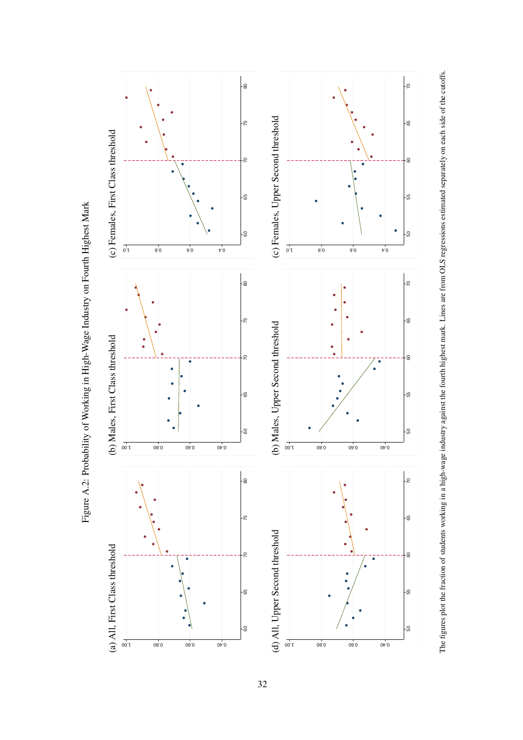<span id="page-33-0"></span>

Figure A.2: Probability of Working in High-Wage Industry on Fourth Highest Mark Figure A.2: Probability of Working in High-Wage Industry on Fourth Highest Mark The figures plot the fraction of students working in a high-wage industry against the fourth highest mark. Lines are from OLS regressions estimated separately on each side of the cutoffs.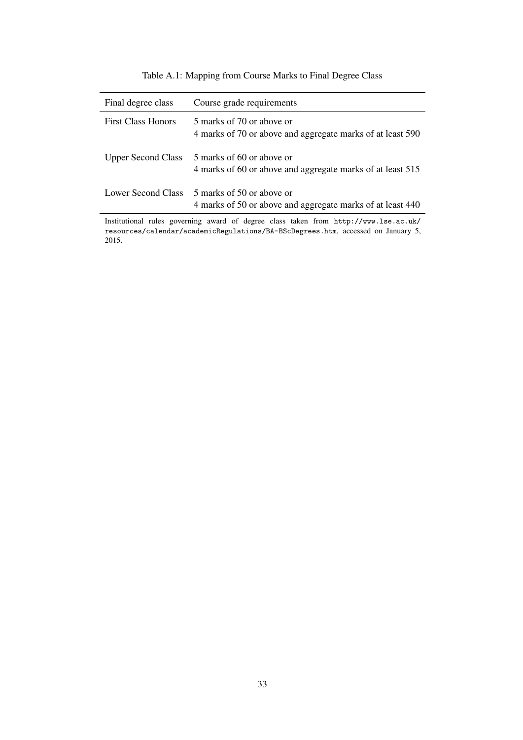## <span id="page-34-0"></span>Table A.1: Mapping from Course Marks to Final Degree Class

| Final degree class        | Course grade requirements                                                               |
|---------------------------|-----------------------------------------------------------------------------------------|
| <b>First Class Honors</b> | 5 marks of 70 or above or<br>4 marks of 70 or above and aggregate marks of at least 590 |
| <b>Upper Second Class</b> | 5 marks of 60 or above or<br>4 marks of 60 or above and aggregate marks of at least 515 |
| Lower Second Class        | 5 marks of 50 or above or<br>4 marks of 50 or above and aggregate marks of at least 440 |

Institutional rules governing award of degree class taken from [http://www.lse.ac.uk/](http://www.lse.ac.uk/resources/calendar/academicRegulations/BA-BScDegrees.htm) [resources/calendar/academicRegulations/BA-BScDegrees.htm](http://www.lse.ac.uk/resources/calendar/academicRegulations/BA-BScDegrees.htm), accessed on January 5, 2015.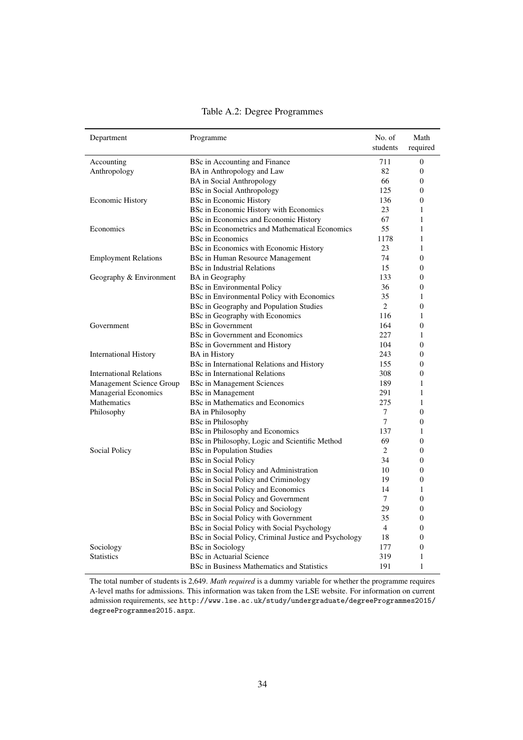| Department                     | Programme                                                          | No. of<br>students | Math<br>required      |
|--------------------------------|--------------------------------------------------------------------|--------------------|-----------------------|
| Accounting                     | BSc in Accounting and Finance                                      | 711                | $\theta$              |
| Anthropology                   | BA in Anthropology and Law                                         | 82                 | $\boldsymbol{0}$      |
|                                | <b>BA</b> in Social Anthropology                                   | 66                 | $\Omega$              |
|                                | <b>BSc</b> in Social Anthropology                                  | 125                | $\boldsymbol{0}$      |
| <b>Economic History</b>        | BSc in Economic History                                            | 136                | $\boldsymbol{0}$      |
|                                | BSc in Economic History with Economics                             | 23                 | 1                     |
|                                | BSc in Economics and Economic History                              | 67                 | 1                     |
| Economics                      | BSc in Econometrics and Mathematical Economics                     | 55                 | 1                     |
|                                | <b>BSc in Economics</b>                                            | 1178               | 1                     |
|                                | BSc in Economics with Economic History                             | 23                 | 1                     |
| <b>Employment Relations</b>    | <b>BSc in Human Resource Management</b>                            | 74                 | $\overline{0}$        |
|                                | <b>BSc in Industrial Relations</b>                                 | 15                 | $\boldsymbol{0}$      |
| Geography & Environment        | BA in Geography                                                    | 133                | $\theta$              |
|                                | <b>BSc</b> in Environmental Policy                                 | 36                 | $\overline{0}$        |
|                                | BSc in Environmental Policy with Economics                         | 35                 | 1                     |
|                                | BSc in Geography and Population Studies                            | $\overline{c}$     | $\Omega$              |
|                                | BSc in Geography with Economics                                    | 116                | 1                     |
| Government                     | <b>BSc in Government</b>                                           | 164                | $\boldsymbol{0}$      |
|                                | BSc in Government and Economics                                    | 227                | 1                     |
|                                | BSc in Government and History                                      | 104                | $\boldsymbol{0}$      |
|                                |                                                                    | 243                | $\theta$              |
| <b>International History</b>   | <b>BA</b> in History<br>BSc in International Relations and History | 155                | $\overline{0}$        |
| <b>International Relations</b> | <b>BSc</b> in International Relations                              | 308                | $\overline{0}$        |
| Management Science Group       |                                                                    | 189                | 1                     |
| <b>Managerial Economics</b>    | <b>BSc in Management Sciences</b>                                  | 291                |                       |
| Mathematics                    | <b>BSc</b> in Management                                           | 275                | 1<br>1                |
|                                | BSc in Mathematics and Economics                                   | 7                  | $\overline{0}$        |
| Philosophy                     | <b>BA</b> in Philosophy                                            | 7                  | $\Omega$              |
|                                | <b>BSc</b> in Philosophy                                           | 137                |                       |
|                                | BSc in Philosophy and Economics                                    | 69                 | 1<br>$\boldsymbol{0}$ |
|                                | BSc in Philosophy, Logic and Scientific Method                     | 2                  | $\boldsymbol{0}$      |
| Social Policy                  | <b>BSc</b> in Population Studies<br><b>BSc</b> in Social Policy    | 34                 | 0                     |
|                                |                                                                    |                    |                       |
|                                | BSc in Social Policy and Administration                            | 10<br>19           | $\boldsymbol{0}$      |
|                                | BSc in Social Policy and Criminology                               | 14                 | $\Omega$              |
|                                | BSc in Social Policy and Economics                                 | $\tau$             | 1                     |
|                                | BSc in Social Policy and Government                                |                    | $\boldsymbol{0}$      |
|                                | BSc in Social Policy and Sociology                                 | 29                 | $\Omega$              |
|                                | BSc in Social Policy with Government                               | 35                 | $\boldsymbol{0}$      |
|                                | BSc in Social Policy with Social Psychology                        | $\overline{4}$     | $\theta$              |
|                                | BSc in Social Policy, Criminal Justice and Psychology              | 18                 | $\overline{0}$        |
| Sociology                      | <b>BSc in Sociology</b>                                            | 177                | $\overline{0}$        |
| <b>Statistics</b>              | <b>BSc in Actuarial Science</b>                                    | 319                | 1                     |
|                                | BSc in Business Mathematics and Statistics                         | 191                | 1                     |

#### <span id="page-35-0"></span>Table A.2: Degree Programmes

The total number of students is 2,649. *Math required* is a dummy variable for whether the programme requires A-level maths for admissions. This information was taken from the LSE website. For information on current admission requirements, see [http://www.lse.ac.uk/study/undergraduate/degreeProgrammes2015/](http://www.lse.ac.uk/study/undergraduate/degreeProgrammes2015/degreeProgrammes2015.aspx) [degreeProgrammes2015.aspx](http://www.lse.ac.uk/study/undergraduate/degreeProgrammes2015/degreeProgrammes2015.aspx).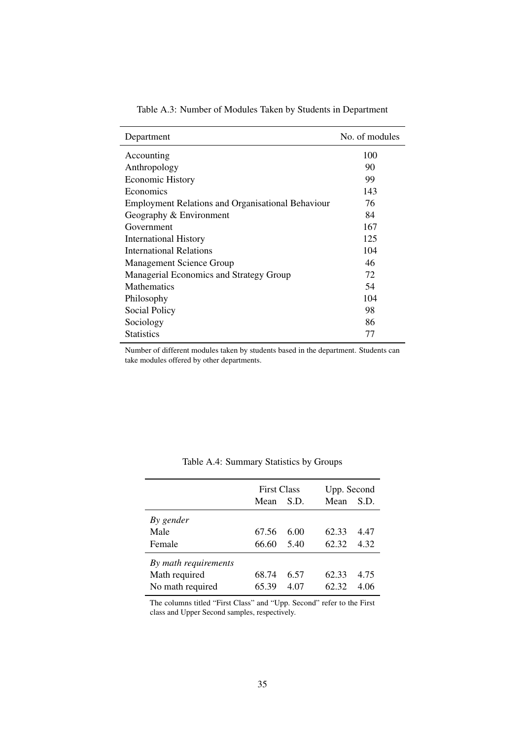| Department                                               | No. of modules |
|----------------------------------------------------------|----------------|
| Accounting                                               | 100            |
| Anthropology                                             | 90             |
| <b>Economic History</b>                                  | 99             |
| Economics                                                | 143            |
| <b>Employment Relations and Organisational Behaviour</b> | 76             |
| Geography & Environment                                  | 84             |
| Government                                               | 167            |
| <b>International History</b>                             | 125            |
| <b>International Relations</b>                           | 104            |
| Management Science Group                                 | 46             |
| Managerial Economics and Strategy Group                  | 72             |
| <b>Mathematics</b>                                       | 54             |
| Philosophy                                               | 104            |
| Social Policy                                            | 98             |
| Sociology                                                | 86             |
| <b>Statistics</b>                                        | 77             |
|                                                          |                |

<span id="page-36-0"></span>Table A.3: Number of Modules Taken by Students in Department

Number of different modules taken by students based in the department. Students can take modules offered by other departments.

|                      | <b>First Class</b> |      |       | Upp. Second |  |  |
|----------------------|--------------------|------|-------|-------------|--|--|
|                      | Mean               | S.D. | Mean  | S.D.        |  |  |
| By gender            |                    |      |       |             |  |  |
| Male                 | 67.56              | 6.00 | 62.33 | 4 47        |  |  |
| Female               | 66.60              | 5.40 | 62.32 | 4.32        |  |  |
| By math requirements |                    |      |       |             |  |  |
| Math required        | 68.74              | 6.57 | 62.33 | 4.75        |  |  |
| No math required     | 65.39              | 4.07 | 62.32 | 4.06        |  |  |

<span id="page-36-1"></span>Table A.4: Summary Statistics by Groups

The columns titled "First Class" and "Upp. Second" refer to the First class and Upper Second samples, respectively.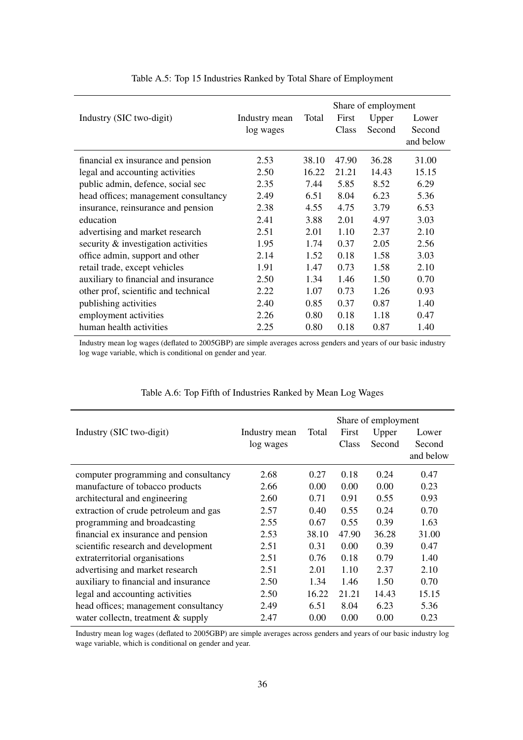|                                      |               |       | Share of employment |        |           |  |
|--------------------------------------|---------------|-------|---------------------|--------|-----------|--|
| Industry (SIC two-digit)             | Industry mean | Total | First               | Upper  | Lower     |  |
|                                      | log wages     |       | Class               | Second | Second    |  |
|                                      |               |       |                     |        | and below |  |
| financial ex insurance and pension   | 2.53          | 38.10 | 47.90               | 36.28  | 31.00     |  |
| legal and accounting activities      | 2.50          | 16.22 | 21.21               | 14.43  | 15.15     |  |
| public admin, defence, social sec    | 2.35          | 7.44  | 5.85                | 8.52   | 6.29      |  |
| head offices; management consultancy | 2.49          | 6.51  | 8.04                | 6.23   | 5.36      |  |
| insurance, reinsurance and pension   | 2.38          | 4.55  | 4.75                | 3.79   | 6.53      |  |
| education                            | 2.41          | 3.88  | 2.01                | 4.97   | 3.03      |  |
| advertising and market research      | 2.51          | 2.01  | 1.10                | 2.37   | 2.10      |  |
| security & investigation activities  | 1.95          | 1.74  | 0.37                | 2.05   | 2.56      |  |
| office admin, support and other      | 2.14          | 1.52  | 0.18                | 1.58   | 3.03      |  |
| retail trade, except vehicles        | 1.91          | 1.47  | 0.73                | 1.58   | 2.10      |  |
| auxiliary to financial and insurance | 2.50          | 1.34  | 1.46                | 1.50   | 0.70      |  |
| other prof, scientific and technical | 2.22          | 1.07  | 0.73                | 1.26   | 0.93      |  |
| publishing activities                | 2.40          | 0.85  | 0.37                | 0.87   | 1.40      |  |
| employment activities                | 2.26          | 0.80  | 0.18                | 1.18   | 0.47      |  |
| human health activities              | 2.25          | 0.80  | 0.18                | 0.87   | 1.40      |  |

<span id="page-37-0"></span>Table A.5: Top 15 Industries Ranked by Total Share of Employment

Industry mean log wages (deflated to 2005GBP) are simple averages across genders and years of our basic industry log wage variable, which is conditional on gender and year.

|                                       |               |       | Share of employment |        |           |
|---------------------------------------|---------------|-------|---------------------|--------|-----------|
| Industry (SIC two-digit)              | Industry mean | Total | First               | Upper  | Lower     |
|                                       | log wages     |       | Class               | Second | Second    |
|                                       |               |       |                     |        | and below |
| computer programming and consultancy  | 2.68          | 0.27  | 0.18                | 0.24   | 0.47      |
| manufacture of tobacco products       | 2.66          | 0.00  | 0.00                | 0.00   | 0.23      |
| architectural and engineering         | 2.60          | 0.71  | 0.91                | 0.55   | 0.93      |
| extraction of crude petroleum and gas | 2.57          | 0.40  | 0.55                | 0.24   | 0.70      |
| programming and broadcasting          | 2.55          | 0.67  | 0.55                | 0.39   | 1.63      |
| financial ex insurance and pension    | 2.53          | 38.10 | 47.90               | 36.28  | 31.00     |
| scientific research and development   | 2.51          | 0.31  | 0.00                | 0.39   | 0.47      |
| extraterritorial organisations        | 2.51          | 0.76  | 0.18                | 0.79   | 1.40      |
| advertising and market research       | 2.51          | 2.01  | 1.10                | 2.37   | 2.10      |
| auxiliary to financial and insurance  | 2.50          | 1.34  | 1.46                | 1.50   | 0.70      |
| legal and accounting activities       | 2.50          | 16.22 | 21.21               | 14.43  | 15.15     |
| head offices; management consultancy  | 2.49          | 6.51  | 8.04                | 6.23   | 5.36      |
| water collectn, treatment $&$ supply  | 2.47          | 0.00  | 0.00                | 0.00   | 0.23      |

#### <span id="page-37-1"></span>Table A.6: Top Fifth of Industries Ranked by Mean Log Wages

l,

Industry mean log wages (deflated to 2005GBP) are simple averages across genders and years of our basic industry log wage variable, which is conditional on gender and year.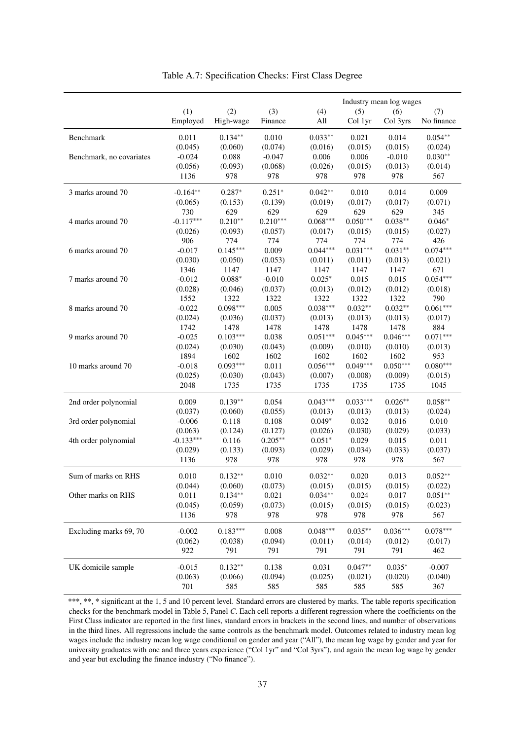|                          |             |              |            |            |            | Industry mean log wages |            |
|--------------------------|-------------|--------------|------------|------------|------------|-------------------------|------------|
|                          | (1)         | (2)          | (3)        | (4)        | (5)        | (6)                     | (7)        |
|                          | Employed    | High-wage    | Finance    | All        | Col 1yr    | Col 3yrs                | No finance |
| Benchmark                | 0.011       | $0.134**$    | 0.010      | $0.033**$  | 0.021      | 0.014                   | $0.054**$  |
|                          | (0.045)     | (0.060)      | (0.074)    | (0.016)    | (0.015)    | (0.015)                 | (0.024)    |
| Benchmark, no covariates | $-0.024$    | 0.088        | $-0.047$   | 0.006      | 0.006      | $-0.010$                | $0.030**$  |
|                          | (0.056)     | (0.093)      | (0.068)    | (0.026)    | (0.015)    | (0.013)                 | (0.014)    |
|                          | 1136        | 978          | 978        | 978        | 978        | 978                     | 567        |
| 3 marks around 70        | $-0.164**$  | $0.287*$     | $0.251*$   | $0.042**$  | 0.010      | 0.014                   | 0.009      |
|                          | (0.065)     | (0.153)      | (0.139)    | (0.019)    | (0.017)    | (0.017)                 | (0.071)    |
|                          | 730         | 629          | 629        | 629        | 629        | 629                     | 345        |
| 4 marks around 70        | $-0.117***$ | $0.210**$    | $0.210***$ | $0.068***$ | $0.050***$ | $0.038**$               | $0.046*$   |
|                          | (0.026)     | (0.093)      | (0.057)    | (0.017)    | (0.015)    | (0.015)                 | (0.027)    |
|                          | 906         | 774          | 774        | 774        | 774        | 774                     | 426        |
| 6 marks around 70        |             | $0.145***$   | 0.009      | $0.044***$ | $0.031***$ | $0.031**$               | $0.074***$ |
|                          | $-0.017$    |              |            |            |            |                         |            |
|                          | (0.030)     | (0.050)      | (0.053)    | (0.011)    | (0.011)    | (0.013)                 | (0.021)    |
|                          | 1346        | 1147         | 1147       | 1147       | 1147       | 1147                    | 671        |
| 7 marks around 70        | $-0.012$    | $0.088^\ast$ | $-0.010$   | $0.025*$   | 0.015      | 0.015                   | $0.054***$ |
|                          | (0.028)     | (0.046)      | (0.037)    | (0.013)    | (0.012)    | (0.012)                 | (0.018)    |
|                          | 1552        | 1322         | 1322       | 1322       | 1322       | 1322                    | 790        |
| 8 marks around 70        | $-0.022$    | $0.098***$   | 0.005      | $0.038***$ | $0.032**$  | $0.032**$               | $0.061***$ |
|                          | (0.024)     | (0.036)      | (0.037)    | (0.013)    | (0.013)    | (0.013)                 | (0.017)    |
|                          | 1742        | 1478         | 1478       | 1478       | 1478       | 1478                    | 884        |
| 9 marks around 70        | $-0.025$    | $0.103***$   | 0.038      | $0.051***$ | $0.045***$ | $0.046***$              | $0.071***$ |
|                          | (0.024)     | (0.030)      | (0.043)    | (0.009)    | (0.010)    | (0.010)                 | (0.013)    |
|                          | 1894        | 1602         | 1602       | 1602       | 1602       | 1602                    | 953        |
| 10 marks around 70       | $-0.018$    | $0.093***$   | 0.011      | $0.056***$ | $0.049***$ | $0.050***$              | $0.080***$ |
|                          | (0.025)     | (0.030)      | (0.043)    | (0.007)    | (0.008)    | (0.009)                 | (0.015)    |
|                          | 2048        | 1735         | 1735       | 1735       | 1735       | 1735                    | 1045       |
| 2nd order polynomial     | 0.009       | $0.139**$    | 0.054      | $0.043***$ | $0.033***$ | $0.026**$               | $0.058**$  |
|                          | (0.037)     | (0.060)      | (0.055)    | (0.013)    | (0.013)    | (0.013)                 | (0.024)    |
| 3rd order polynomial     | $-0.006$    | 0.118        | 0.108      | $0.049*$   | 0.032      | 0.016                   | 0.010      |
|                          | (0.063)     | (0.124)      | (0.127)    | (0.026)    | (0.030)    | (0.029)                 | (0.033)    |
| 4th order polynomial     | $-0.133***$ | 0.116        | $0.205**$  | $0.051*$   | 0.029      | 0.015                   | 0.011      |
|                          | (0.029)     | (0.133)      | (0.093)    | (0.029)    | (0.034)    | (0.033)                 | (0.037)    |
|                          | 1136        | 978          | 978        | 978        | 978        | 978                     | 567        |
| Sum of marks on RHS      | 0.010       | $0.132**$    | 0.010      | $0.032**$  | 0.020      | 0.013                   | $0.052**$  |
|                          | (0.044)     | (0.060)      | (0.073)    | (0.015)    | (0.015)    | (0.015)                 | (0.022)    |
| Other marks on RHS       | 0.011       | $0.134**$    | 0.021      | $0.034**$  | 0.024      | 0.017                   | $0.051**$  |
|                          | (0.045)     | (0.059)      | (0.073)    | (0.015)    | (0.015)    | (0.015)                 | (0.023)    |
|                          | 1136        | 978          | 978        | 978        | 978        | 978                     | 567        |
| Excluding marks 69, 70   | $-0.002$    | $0.183***$   | 0.008      | $0.048***$ | $0.035**$  | $0.036***$              | $0.078***$ |
|                          | (0.062)     | (0.038)      | (0.094)    | (0.011)    | (0.014)    | (0.012)                 | (0.017)    |
|                          | 922         | 791          | 791        | 791        | 791        | 791                     | 462        |
| UK domicile sample       | $-0.015$    | $0.132**$    | 0.138      | 0.031      | $0.047**$  | $0.035*$                | $-0.007$   |
|                          | (0.063)     | (0.066)      | (0.094)    | (0.025)    | (0.021)    | (0.020)                 | (0.040)    |
|                          | 701         | 585          | 585        | 585        | 585        | 585                     | 367        |

<span id="page-38-0"></span>Table A.7: Specification Checks: First Class Degree

\*\*\*, \*\*, \* significant at the 1, 5 and 10 percent level. Standard errors are clustered by marks. The table reports specification checks for the benchmark model in Table [5,](#page-27-0) Panel *C*. Each cell reports a different regression where the coefficients on the First Class indicator are reported in the first lines, standard errors in brackets in the second lines, and number of observations in the third lines. All regressions include the same controls as the benchmark model. Outcomes related to industry mean log wages include the industry mean log wage conditional on gender and year ("All"), the mean log wage by gender and year for university graduates with one and three years experience ("Col 1yr" and "Col 3yrs"), and again the mean log wage by gender and year but excluding the finance industry ("No finance").